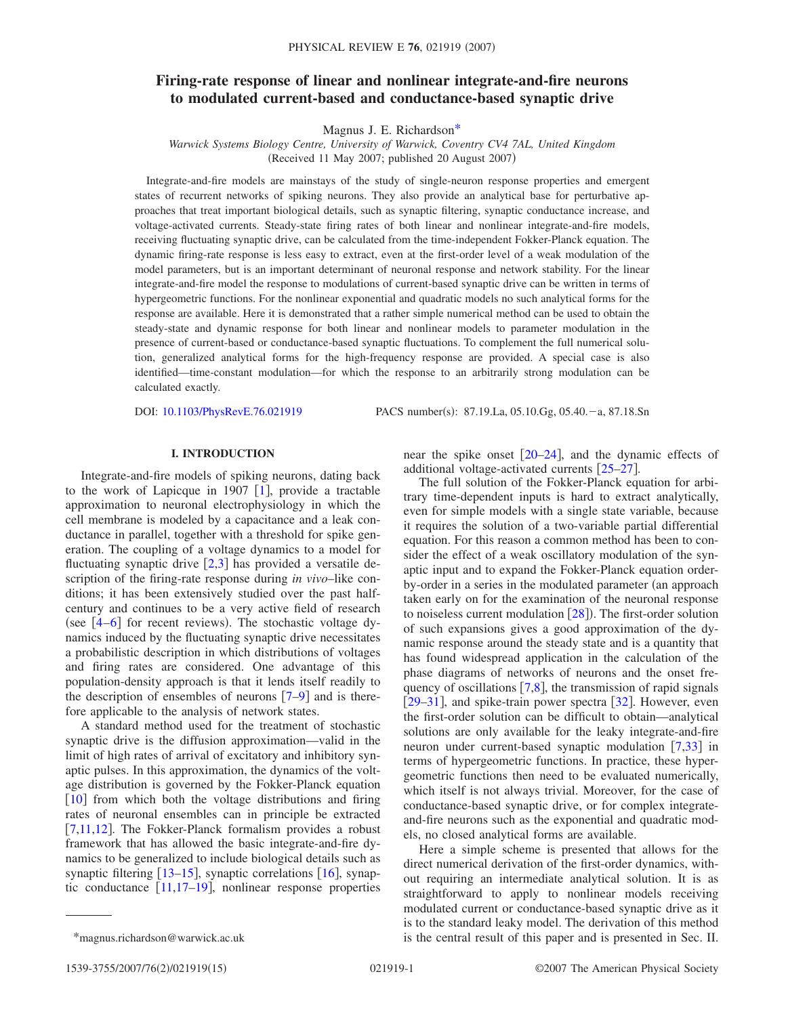# **Firing-rate response of linear and nonlinear integrate-and-fire neurons to modulated current-based and conductance-based synaptic drive**

Magnus J. E. Richardso[n\\*](#page-0-0)

*Warwick Systems Biology Centre, University of Warwick, Coventry CV4 7AL, United Kingdom* (Received 11 May 2007; published 20 August 2007)

Integrate-and-fire models are mainstays of the study of single-neuron response properties and emergent states of recurrent networks of spiking neurons. They also provide an analytical base for perturbative approaches that treat important biological details, such as synaptic filtering, synaptic conductance increase, and voltage-activated currents. Steady-state firing rates of both linear and nonlinear integrate-and-fire models, receiving fluctuating synaptic drive, can be calculated from the time-independent Fokker-Planck equation. The dynamic firing-rate response is less easy to extract, even at the first-order level of a weak modulation of the model parameters, but is an important determinant of neuronal response and network stability. For the linear integrate-and-fire model the response to modulations of current-based synaptic drive can be written in terms of hypergeometric functions. For the nonlinear exponential and quadratic models no such analytical forms for the response are available. Here it is demonstrated that a rather simple numerical method can be used to obtain the steady-state and dynamic response for both linear and nonlinear models to parameter modulation in the presence of current-based or conductance-based synaptic fluctuations. To complement the full numerical solution, generalized analytical forms for the high-frequency response are provided. A special case is also identified—time-constant modulation—for which the response to an arbitrarily strong modulation can be calculated exactly.

DOI: [10.1103/PhysRevE.76.021919](http://dx.doi.org/10.1103/PhysRevE.76.021919)

PACS number(s):  $87.19.La$ ,  $05.10.Gg$ ,  $05.40.-a$ ,  $87.18.Sn$ 

# **I. INTRODUCTION**

Integrate-and-fire models of spiking neurons, dating back to the work of Lapicque in [1](#page-13-0)907  $\lceil 1 \rceil$ , provide a tractable approximation to neuronal electrophysiology in which the cell membrane is modeled by a capacitance and a leak conductance in parallel, together with a threshold for spike generation. The coupling of a voltage dynamics to a model for fluctuating synaptic drive  $[2,3]$  $[2,3]$  $[2,3]$  $[2,3]$  has provided a versatile description of the firing-rate response during *in vivo*–like conditions; it has been extensively studied over the past halfcentury and continues to be a very active field of research (see  $[4-6]$  $[4-6]$  $[4-6]$  for recent reviews). The stochastic voltage dynamics induced by the fluctuating synaptic drive necessitates a probabilistic description in which distributions of voltages and firing rates are considered. One advantage of this population-density approach is that it lends itself readily to the description of ensembles of neurons  $[7-9]$  $[7-9]$  $[7-9]$  and is therefore applicable to the analysis of network states.

A standard method used for the treatment of stochastic synaptic drive is the diffusion approximation—valid in the limit of high rates of arrival of excitatory and inhibitory synaptic pulses. In this approximation, the dynamics of the voltage distribution is governed by the Fokker-Planck equation  $\left[10\right]$  $\left[10\right]$  $\left[10\right]$  from which both the voltage distributions and firing rates of neuronal ensembles can in principle be extracted [[7](#page-13-5)[,11](#page-13-8)[,12](#page-13-9)]. The Fokker-Planck formalism provides a robust framework that has allowed the basic integrate-and-fire dynamics to be generalized to include biological details such as synaptic filtering  $\left[13-15\right]$  $\left[13-15\right]$  $\left[13-15\right]$ , synaptic correlations  $\left[16\right]$  $\left[16\right]$  $\left[16\right]$ , synaptic conductance  $[11,17-19]$  $[11,17-19]$  $[11,17-19]$  $[11,17-19]$ , nonlinear response properties

near the spike onset  $\lceil 20-24 \rceil$  $\lceil 20-24 \rceil$  $\lceil 20-24 \rceil$ , and the dynamic effects of additional voltage-activated currents  $[25-27]$  $[25-27]$  $[25-27]$ .

The full solution of the Fokker-Planck equation for arbitrary time-dependent inputs is hard to extract analytically, even for simple models with a single state variable, because it requires the solution of a two-variable partial differential equation. For this reason a common method has been to consider the effect of a weak oscillatory modulation of the synaptic input and to expand the Fokker-Planck equation orderby-order in a series in the modulated parameter (an approach taken early on for the examination of the neuronal response to noiseless current modulation  $[28]$  $[28]$  $[28]$ ). The first-order solution of such expansions gives a good approximation of the dynamic response around the steady state and is a quantity that has found widespread application in the calculation of the phase diagrams of networks of neurons and the onset frequency of oscillations  $[7,8]$  $[7,8]$  $[7,8]$  $[7,8]$ , the transmission of rapid signals  $[29-31]$  $[29-31]$  $[29-31]$ , and spike-train power spectra  $[32]$  $[32]$  $[32]$ . However, even the first-order solution can be difficult to obtain—analytical solutions are only available for the leaky integrate-and-fire neuron under current-based synaptic modulation  $[7,33]$  $[7,33]$  $[7,33]$  $[7,33]$  in terms of hypergeometric functions. In practice, these hypergeometric functions then need to be evaluated numerically, which itself is not always trivial. Moreover, for the case of conductance-based synaptic drive, or for complex integrateand-fire neurons such as the exponential and quadratic models, no closed analytical forms are available.

Here a simple scheme is presented that allows for the direct numerical derivation of the first-order dynamics, without requiring an intermediate analytical solution. It is as straightforward to apply to nonlinear models receiving modulated current or conductance-based synaptic drive as it is to the standard leaky model. The derivation of this method \*magnus.richardson@warwick.ac.uk is the central result of this paper and is presented in Sec. II.

<span id="page-0-0"></span>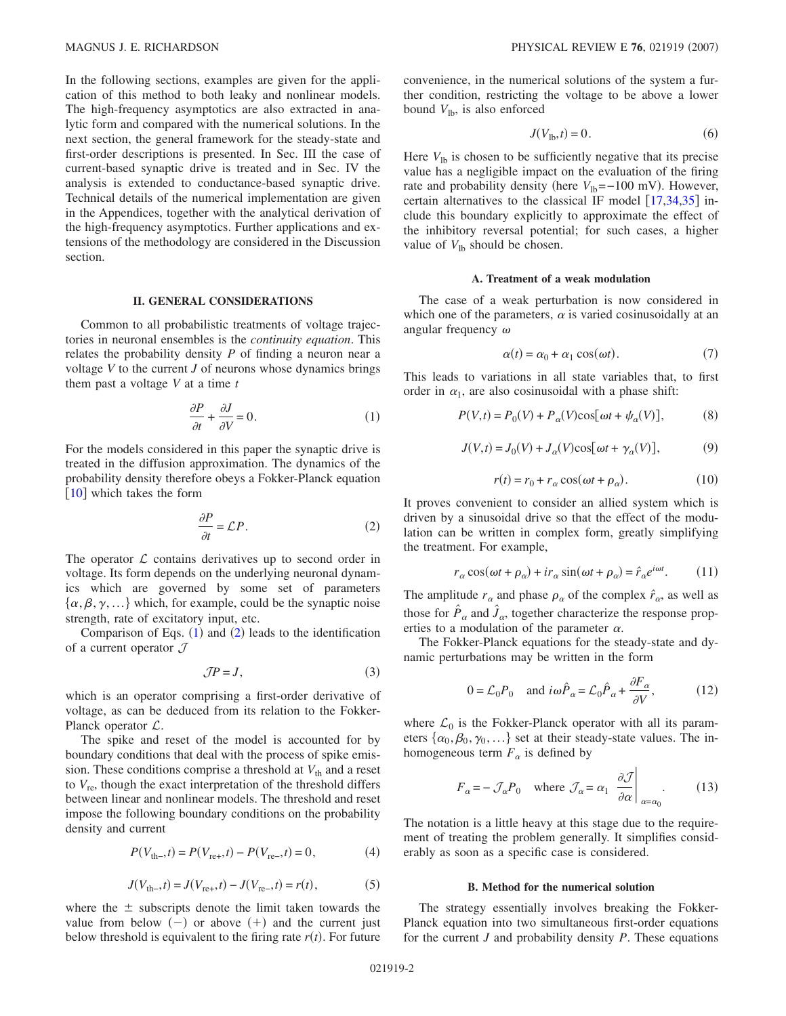In the following sections, examples are given for the application of this method to both leaky and nonlinear models. The high-frequency asymptotics are also extracted in analytic form and compared with the numerical solutions. In the next section, the general framework for the steady-state and first-order descriptions is presented. In Sec. III the case of current-based synaptic drive is treated and in Sec. IV the analysis is extended to conductance-based synaptic drive. Technical details of the numerical implementation are given in the Appendices, together with the analytical derivation of the high-frequency asymptotics. Further applications and extensions of the methodology are considered in the Discussion section.

#### **II. GENERAL CONSIDERATIONS**

Common to all probabilistic treatments of voltage trajectories in neuronal ensembles is the *continuity equation*. This relates the probability density *P* of finding a neuron near a voltage *V* to the current *J* of neurons whose dynamics brings them past a voltage *V* at a time *t*

$$
\frac{\partial P}{\partial t} + \frac{\partial J}{\partial V} = 0.
$$
 (1)

<span id="page-1-0"></span>For the models considered in this paper the synaptic drive is treated in the diffusion approximation. The dynamics of the probability density therefore obeys a Fokker-Planck equation [[10](#page-13-7)] which takes the form

$$
\frac{\partial P}{\partial t} = \mathcal{L}P.\tag{2}
$$

<span id="page-1-1"></span>The operator  $\mathcal L$  contains derivatives up to second order in voltage. Its form depends on the underlying neuronal dynamics which are governed by some set of parameters  $\{\alpha, \beta, \gamma, \ldots\}$  which, for example, could be the synaptic noise strength, rate of excitatory input, etc.

Comparison of Eqs.  $(1)$  $(1)$  $(1)$  and  $(2)$  $(2)$  $(2)$  leads to the identification of a current operator  $\mathcal J$ 

$$
JP = J,\tag{3}
$$

which is an operator comprising a first-order derivative of voltage, as can be deduced from its relation to the Fokker-Planck operator  $\mathcal{L}$ .

The spike and reset of the model is accounted for by boundary conditions that deal with the process of spike emission. These conditions comprise a threshold at  $V_{th}$  and a reset to *V*re, though the exact interpretation of the threshold differs between linear and nonlinear models. The threshold and reset impose the following boundary conditions on the probability density and current

$$
P(V_{\text{th}-},t) = P(V_{\text{re}+},t) - P(V_{\text{re}-},t) = 0,\tag{4}
$$

$$
J(V_{\text{th}-},t) = J(V_{\text{re}+},t) - J(V_{\text{re}-},t) = r(t),
$$
\n(5)

<span id="page-1-2"></span>where the  $\pm$  subscripts denote the limit taken towards the value from below  $(-)$  or above  $(+)$  and the current just below threshold is equivalent to the firing rate  $r(t)$ . For future

convenience, in the numerical solutions of the system a further condition, restricting the voltage to be above a lower bound  $V_{\text{lb}}$ , is also enforced

$$
J(V_{\text{lb}},t) = 0.\t\t(6)
$$

<span id="page-1-3"></span>Here  $V_{\text{lb}}$  is chosen to be sufficiently negative that its precise value has a negligible impact on the evaluation of the firing rate and probability density (here *V*<sub>lb</sub>=−100 mV). However, certain alternatives to the classical IF model  $[17,34,35]$  $[17,34,35]$  $[17,34,35]$  $[17,34,35]$  $[17,34,35]$  include this boundary explicitly to approximate the effect of the inhibitory reversal potential; for such cases, a higher value of  $V_{\text{lb}}$  should be chosen.

## **A. Treatment of a weak modulation**

The case of a weak perturbation is now considered in which one of the parameters,  $\alpha$  is varied cosinusoidally at an angular frequency  $\omega$ 

$$
\alpha(t) = \alpha_0 + \alpha_1 \cos(\omega t). \tag{7}
$$

<span id="page-1-5"></span>This leads to variations in all state variables that, to first order in  $\alpha_1$ , are also cosinusoidal with a phase shift:

$$
P(V,t) = P_0(V) + P_\alpha(V)\cos[\omega t + \psi_\alpha(V)],\tag{8}
$$

$$
J(V,t) = J_0(V) + J_\alpha(V)\cos[\omega t + \gamma_\alpha(V)],\tag{9}
$$

$$
r(t) = r_0 + r_\alpha \cos(\omega t + \rho_\alpha). \tag{10}
$$

It proves convenient to consider an allied system which is driven by a sinusoidal drive so that the effect of the modulation can be written in complex form, greatly simplifying the treatment. For example,

$$
r_{\alpha}\cos(\omega t + \rho_{\alpha}) + ir_{\alpha}\sin(\omega t + \rho_{\alpha}) = \hat{r}_{\alpha}e^{i\omega t}.
$$
 (11)

The amplitude  $r_\alpha$  and phase  $\rho_\alpha$  of the complex  $\hat{r}_\alpha$ , as well as those for  $\hat{P}_\alpha$  and  $\hat{J}_\alpha$ , together characterize the response properties to a modulation of the parameter  $\alpha$ .

<span id="page-1-6"></span>The Fokker-Planck equations for the steady-state and dynamic perturbations may be written in the form

$$
0 = \mathcal{L}_0 P_0 \quad \text{and} \quad i\omega \hat{P}_\alpha = \mathcal{L}_0 \hat{P}_\alpha + \frac{\partial F_\alpha}{\partial V}, \tag{12}
$$

<span id="page-1-4"></span>where  $\mathcal{L}_0$  is the Fokker-Planck operator with all its parameters  $\{\alpha_0, \beta_0, \gamma_0, \ldots\}$  set at their steady-state values. The inhomogeneous term  $F_{\alpha}$  is defined by

$$
F_{\alpha} = -\mathcal{J}_{\alpha} P_0 \quad \text{where } \mathcal{J}_{\alpha} = \alpha_1 \left. \frac{\partial \mathcal{J}}{\partial \alpha} \right|_{\alpha = \alpha_0}.
$$
 (13)

The notation is a little heavy at this stage due to the requirement of treating the problem generally. It simplifies considerably as soon as a specific case is considered.

## **B. Method for the numerical solution**

The strategy essentially involves breaking the Fokker-Planck equation into two simultaneous first-order equations for the current *J* and probability density *P*. These equations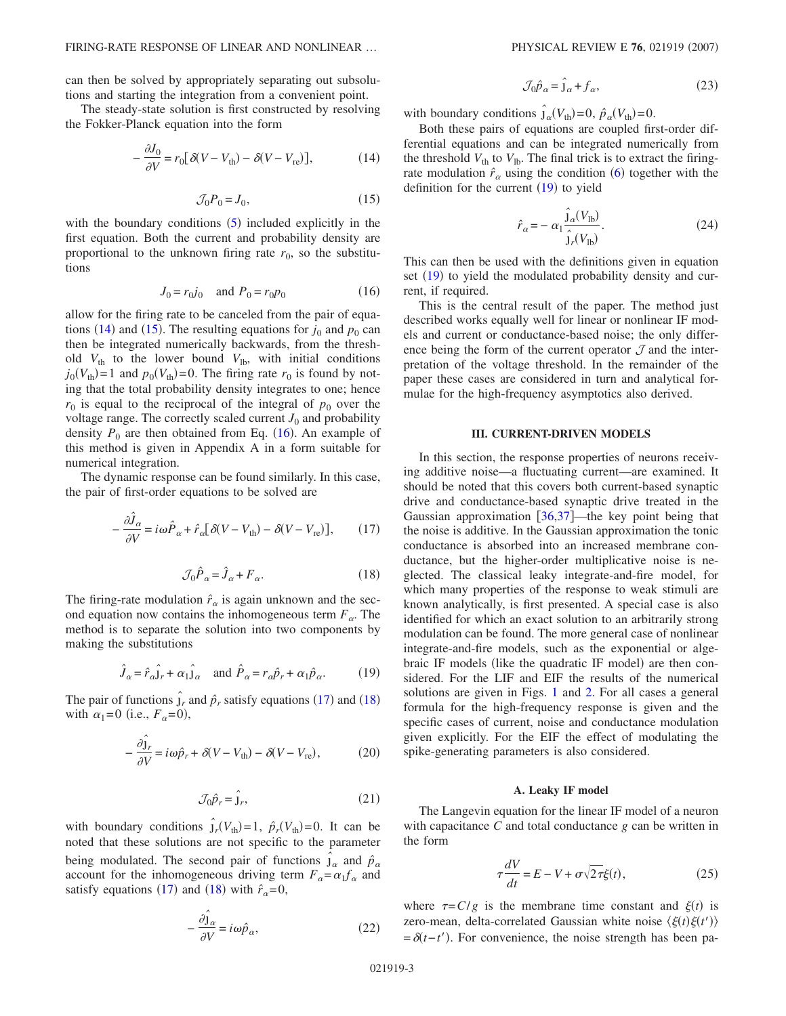can then be solved by appropriately separating out subsolutions and starting the integration from a convenient point.

<span id="page-2-0"></span>The steady-state solution is first constructed by resolving the Fokker-Planck equation into the form

$$
-\frac{\partial J_0}{\partial V} = r_0 \left[ \delta (V - V_{\text{th}}) - \delta (V - V_{\text{re}}) \right],\tag{14}
$$

$$
\mathcal{J}_0 P_0 = J_0,\tag{15}
$$

<span id="page-2-1"></span>with the boundary conditions  $(5)$  $(5)$  $(5)$  included explicitly in the first equation. Both the current and probability density are proportional to the unknown firing rate  $r_0$ , so the substitutions

$$
J_0 = r_0 j_0 \quad \text{and } P_0 = r_0 p_0 \tag{16}
$$

<span id="page-2-2"></span>allow for the firing rate to be canceled from the pair of equa-tions ([14](#page-2-0)) and ([15](#page-2-1)). The resulting equations for  $j_0$  and  $p_0$  can then be integrated numerically backwards, from the threshold  $V_{th}$  to the lower bound  $V_{lb}$ , with initial conditions  $j_0(V_{th}) = 1$  and  $p_0(V_{th}) = 0$ . The firing rate  $r_0$  is found by noting that the total probability density integrates to one; hence  $r_0$  is equal to the reciprocal of the integral of  $p_0$  over the voltage range. The correctly scaled current  $J_0$  and probability density  $P_0$  are then obtained from Eq. ([16](#page-2-2)). An example of this method is given in Appendix A in a form suitable for numerical integration.

<span id="page-2-3"></span>The dynamic response can be found similarly. In this case, the pair of first-order equations to be solved are

$$
-\frac{\partial \hat{J}_{\alpha}}{\partial V} = i\omega \hat{P}_{\alpha} + \hat{r}_{\alpha} [\delta(V - V_{\text{th}}) - \delta(V - V_{\text{re}})], \qquad (17)
$$

$$
\mathcal{J}_0 \hat{P}_\alpha = \hat{J}_\alpha + F_\alpha. \tag{18}
$$

<span id="page-2-4"></span>The firing-rate modulation  $\hat{r}_{\alpha}$  is again unknown and the second equation now contains the inhomogeneous term  $F_{\alpha}$ . The method is to separate the solution into two components by making the substitutions

$$
\hat{J}_{\alpha} = \hat{r}_{\alpha} \hat{j}_r + \hat{\alpha}_1 \hat{j}_{\alpha} \quad \text{and } \hat{P}_{\alpha} = r_{\alpha} \hat{p}_r + \hat{\alpha}_1 \hat{p}_{\alpha}. \tag{19}
$$

<span id="page-2-5"></span>The pair of functions  $\hat{j}_r$  and  $\hat{p}_r$  satisfy equations ([17](#page-2-3)) and ([18](#page-2-4)) with  $\alpha_1 = 0$  (i.e.,  $F_\alpha = 0$ ),

$$
-\frac{\partial \hat{J}_r}{\partial V} = i\omega \hat{p}_r + \delta(V - V_{\text{th}}) - \delta(V - V_{\text{re}}),\tag{20}
$$

$$
\mathcal{J}_0 \hat{p}_r = \hat{\mathbf{j}}_r,\tag{21}
$$

with boundary conditions  $\hat{j}_r(V_{\text{th}})=1$ ,  $\hat{p}_r(V_{\text{th}})=0$ . It can be noted that these solutions are not specific to the parameter being modulated. The second pair of functions  $\hat{j}_{\alpha}$  and  $\hat{p}_{\alpha}$ account for the inhomogeneous driving term  $F_\alpha = \alpha_1 f_\alpha$  and satisfy equations ([17](#page-2-3)) and ([18](#page-2-4)) with  $\hat{r}_\alpha = 0$ ,

$$
-\frac{\partial \hat{J}_{\alpha}}{\partial V} = i\omega \hat{p}_{\alpha},\qquad(22)
$$

$$
\mathcal{J}_0 \hat{p}_\alpha = \hat{\mathbf{j}}_\alpha + f_\alpha,\tag{23}
$$

with boundary conditions  $\hat{\mathbf{j}}_{\alpha}(V_{\text{th}})=0$ ,  $\hat{p}_{\alpha}(V_{\text{th}})=0$ .

Both these pairs of equations are coupled first-order differential equations and can be integrated numerically from the threshold  $V_{th}$  to  $V_{lb}$ . The final trick is to extract the firingrate modulation  $\hat{r}_{\alpha}$  using the condition ([6](#page-1-3)) together with the definition for the current  $(19)$  $(19)$  $(19)$  to yield

$$
\hat{r}_{\alpha} = -\alpha_1 \frac{\hat{\mathbf{j}}_{\alpha}(V_{\rm lb})}{\hat{\mathbf{j}}_{r}(V_{\rm lb})}.
$$
\n(24)

<span id="page-2-7"></span>This can then be used with the definitions given in equation set  $(19)$  $(19)$  $(19)$  to yield the modulated probability density and current, if required.

This is the central result of the paper. The method just described works equally well for linear or nonlinear IF models and current or conductance-based noise; the only difference being the form of the current operator  $\mathcal J$  and the interpretation of the voltage threshold. In the remainder of the paper these cases are considered in turn and analytical formulae for the high-frequency asymptotics also derived.

# **III. CURRENT-DRIVEN MODELS**

In this section, the response properties of neurons receiving additive noise—a fluctuating current—are examined. It should be noted that this covers both current-based synaptic drive and conductance-based synaptic drive treated in the Gaussian approximation  $\left[36,37\right]$  $\left[36,37\right]$  $\left[36,37\right]$  $\left[36,37\right]$ —the key point being that the noise is additive. In the Gaussian approximation the tonic conductance is absorbed into an increased membrane conductance, but the higher-order multiplicative noise is neglected. The classical leaky integrate-and-fire model, for which many properties of the response to weak stimuli are known analytically, is first presented. A special case is also identified for which an exact solution to an arbitrarily strong modulation can be found. The more general case of nonlinear integrate-and-fire models, such as the exponential or algebraic IF models (like the quadratic IF model) are then considered. For the LIF and EIF the results of the numerical solutions are given in Figs. [1](#page-3-0) and [2.](#page-4-0) For all cases a general formula for the high-frequency response is given and the specific cases of current, noise and conductance modulation given explicitly. For the EIF the effect of modulating the spike-generating parameters is also considered.

# **A. Leaky IF model**

The Langevin equation for the linear IF model of a neuron with capacitance *C* and total conductance *g* can be written in the form

$$
\tau \frac{dV}{dt} = E - V + \sigma \sqrt{2\tau} \xi(t),\tag{25}
$$

<span id="page-2-6"></span>where  $\tau = C/g$  is the membrane time constant and  $\xi(t)$  is zero-mean, delta-correlated Gaussian white noise  $\langle \xi(t) \xi(t') \rangle$  $=\delta(t-t')$ . For convenience, the noise strength has been pa-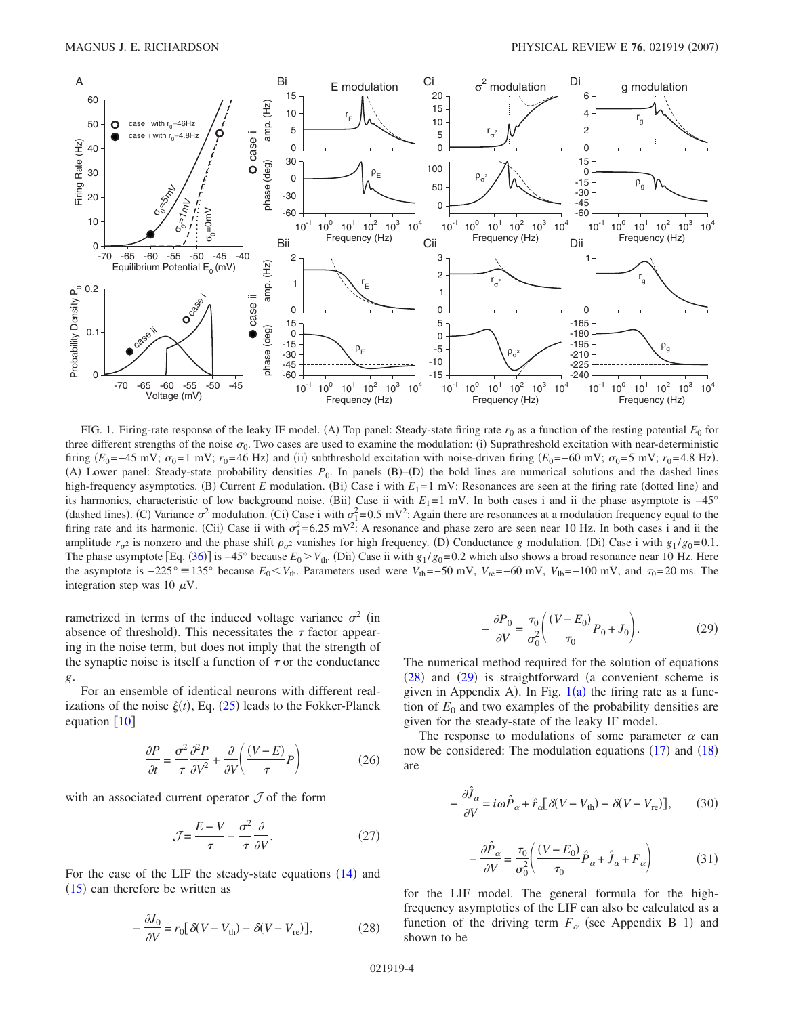<span id="page-3-0"></span>

FIG. 1. Firing-rate response of the leaky IF model. (A) Top panel: Steady-state firing rate  $r_0$  as a function of the resting potential  $E_0$  for three different strengths of the noise  $\sigma_0$ . Two cases are used to examine the modulation: (i) Suprathreshold excitation with near-deterministic firing  $(E_0 = -45 \text{ mV}; \sigma_0 = 1 \text{ mV}; r_0 = 46 \text{ Hz})$  and (ii) subthreshold excitation with noise-driven firing  $(E_0 = -60 \text{ mV}; \sigma_0 = 5 \text{ mV}; r_0 = 4.8 \text{ Hz})$ . (A) Lower panel: Steady-state probability densities  $P_0$ . In panels (B)–(D) the bold lines are numerical solutions and the dashed lines high-frequency asymptotics. (B) Current *E* modulation. (Bi) Case i with  $E_1 = 1$  mV: Resonances are seen at the firing rate (dotted line) and its harmonics, characteristic of low background noise. (Bii) Case ii with  $E_1 = 1$  mV. In both cases i and ii the phase asymptote is  $-45^\circ$ (dashed lines). (C) Variance  $\sigma^2$  modulation. (Ci) Case i with  $\sigma_1^2 = 0.5$  mV<sup>2</sup>: Again there are resonances at a modulation frequency equal to the firing rate and its harmonic. (Cii) Case ii with  $\sigma_1^2 = 6.25 \text{ mV}^2$ : A resonance and phase zero are seen near 10 Hz. In both cases i and ii the amplitude  $r_{\sigma^2}$  is nonzero and the phase shift  $\rho_{\sigma^2}$  vanishes for high frequency. (D) Conductance *g* modulation. (Di) Case i with  $g_1/g_0=0.1$ . The phase asymptote [Eq. ([36](#page-4-1))] is  $-45^{\circ}$  because  $E_0 > V_{\text{th}}$ . (Dii) Case ii with  $g_1/g_0 = 0.2$  which also shows a broad resonance near 10 Hz. Here the asymptote is  $-225^\circ$  ≡ 135° because  $E_0$  V<sub>th</sub>. Parameters used were  $V_{th}$ =−50 mV,  $V_{re}$ =−60 mV,  $V_{lb}$ =−100 mV, and  $\tau_0$ =20 ms. The integration step was 10  $\mu$ V.

rametrized in terms of the induced voltage variance  $\sigma^2$  (in absence of threshold). This necessitates the  $\tau$  factor appearing in the noise term, but does not imply that the strength of the synaptic noise is itself a function of  $\tau$  or the conductance *g*.

For an ensemble of identical neurons with different realizations of the noise  $\xi(t)$ , Eq.  $(25)$  $(25)$  $(25)$  leads to the Fokker-Planck equation  $\lceil 10 \rceil$  $\lceil 10 \rceil$  $\lceil 10 \rceil$ 

$$
\frac{\partial P}{\partial t} = \frac{\sigma^2}{\tau} \frac{\partial^2 P}{\partial V^2} + \frac{\partial}{\partial V} \left( \frac{(V - E)}{\tau} P \right)
$$
(26)

<span id="page-3-6"></span><span id="page-3-3"></span>with an associated current operator  $J$  of the form

$$
\mathcal{J} = \frac{E - V}{\tau} - \frac{\sigma^2}{\tau} \frac{\partial}{\partial V}.
$$
 (27)

<span id="page-3-1"></span>For the case of the LIF the steady-state equations  $(14)$  $(14)$  $(14)$  and  $(15)$  $(15)$  $(15)$  can therefore be written as

$$
-\frac{\partial J_0}{\partial V} = r_0 \left[ \delta (V - V_{\text{th}}) - \delta (V - V_{\text{re}}) \right],\tag{28}
$$

$$
-\frac{\partial P_0}{\partial V} = \frac{\tau_0}{\sigma_0^2} \left( \frac{(V - E_0)}{\tau_0} P_0 + J_0 \right). \tag{29}
$$

<span id="page-3-2"></span>The numerical method required for the solution of equations  $(28)$  $(28)$  $(28)$  and  $(29)$  $(29)$  $(29)$  is straightforward (a convenient scheme is given in Appendix A). In Fig.  $1(a)$  $1(a)$  the firing rate as a function of  $E_0$  and two examples of the probability densities are given for the steady-state of the leaky IF model.

<span id="page-3-4"></span>The response to modulations of some parameter  $\alpha$  can now be considered: The modulation equations  $(17)$  $(17)$  $(17)$  and  $(18)$  $(18)$  $(18)$ are

$$
-\frac{\partial \hat{J}_{\alpha}}{\partial V} = i\omega \hat{P}_{\alpha} + \hat{r}_{\alpha} [\delta(V - V_{\text{th}}) - \delta(V - V_{\text{re}})],\tag{30}
$$

$$
-\frac{\partial \hat{P}_{\alpha}}{\partial V} = \frac{\tau_0}{\sigma_0^2} \left( \frac{(V - E_0)}{\tau_0} \hat{P}_{\alpha} + \hat{J}_{\alpha} + F_{\alpha} \right)
$$
(31)

<span id="page-3-5"></span>for the LIF model. The general formula for the highfrequency asymptotics of the LIF can also be calculated as a function of the driving term  $F_\alpha$  (see Appendix B 1) and shown to be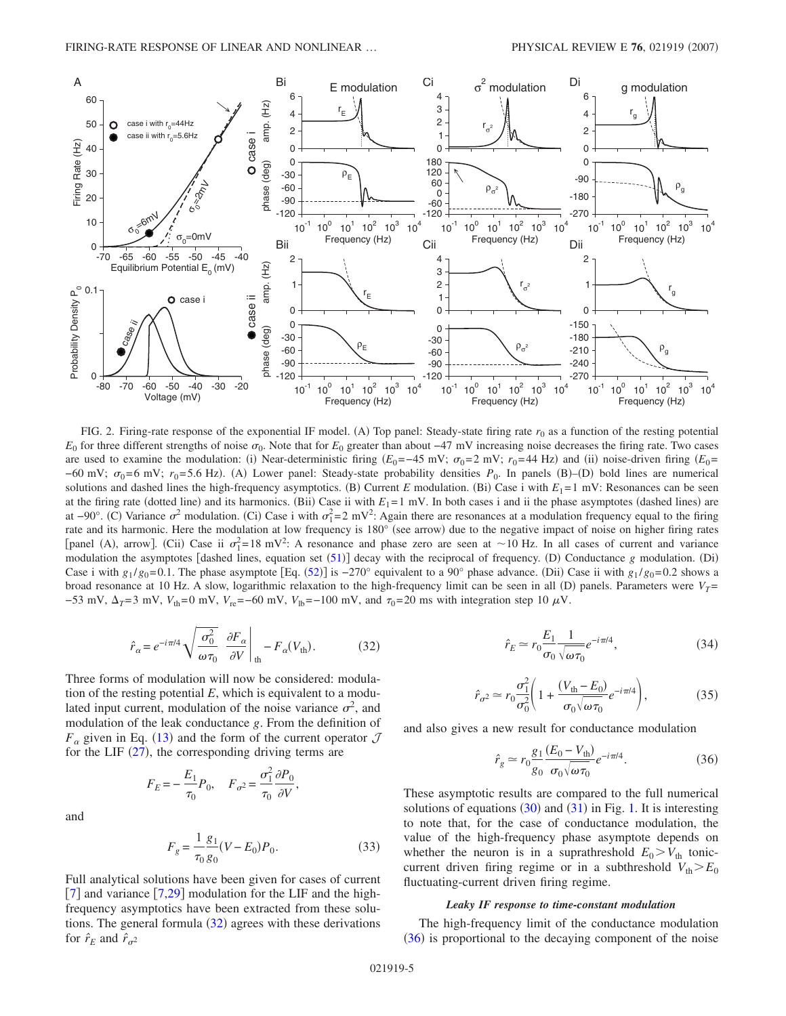<span id="page-4-0"></span>

FIG. 2. Firing-rate response of the exponential IF model. (A) Top panel: Steady-state firing rate  $r_0$  as a function of the resting potential  $E_0$  for three different strengths of noise  $\sigma_0$ . Note that for  $E_0$  greater than about −47 mV increasing noise decreases the firing rate. Two cases are used to examine the modulation: (i) Near-deterministic firing  $(E_0 = -45 \text{ mV}; \sigma_0 = 2 \text{ mV}; r_0 = 44 \text{ Hz})$  and (ii) noise-driven firing  $(E_0 =$ -60 mV;  $\sigma_0$ =6 mV;  $r_0$ =5.6 Hz). (A) Lower panel: Steady-state probability densities *P*<sub>0</sub>. In panels (B)–(D) bold lines are numerical solutions and dashed lines the high-frequency asymptotics. (B) Current *E* modulation. (Bi) Case i with  $E_1 = 1$  mV: Resonances can be seen at the firing rate (dotted line) and its harmonics. (Bii) Case ii with  $E_1 = 1$  mV. In both cases i and ii the phase asymptotes (dashed lines) are at –90°. (C) Variance  $\sigma^2$  modulation. (Ci) Case i with  $\sigma_1^2 = 2 \text{ mV}^2$ : Again there are resonances at a modulation frequency equal to the firing rate and its harmonic. Here the modulation at low frequency is 180° (see arrow) due to the negative impact of noise on higher firing rates [panel (A), arrow]. (Cii) Case ii  $\sigma_1^2 = 18 \text{ mV}^2$ : A resonance and phase zero are seen at  $\sim 10 \text{ Hz}$ . In all cases of current and variance modulation the asymptotes [dashed lines, equation set ([51](#page-6-0))] decay with the reciprocal of frequency. (D) Conductance *g* modulation. (Di) Case i with  $g_1/g_0 = 0.1$ . The phase asymptote [Eq. ([52](#page-6-1))] is  $-270^\circ$  equivalent to a 90° phase advance. (Dii) Case ii with  $g_1/g_0 = 0.2$  shows a broad resonance at 10 Hz. A slow, logarithmic relaxation to the high-frequency limit can be seen in all (D) panels. Parameters were  $V_T$ =  $-53$  mV,  $\Delta_T = 3$  mV,  $V_{th} = 0$  mV,  $V_{re} = -60$  mV,  $V_{lb} = -100$  mV, and  $\tau_0 = 20$  ms with integration step 10  $\mu$ V.

$$
\hat{r}_{\alpha} = e^{-i\pi/4} \sqrt{\frac{\sigma_0^2}{\omega \tau_0}} \left. \frac{\partial F_{\alpha}}{\partial V} \right|_{\text{th}} - F_{\alpha}(V_{\text{th}}). \tag{32}
$$

<span id="page-4-2"></span>Three forms of modulation will now be considered: modulation of the resting potential *E*, which is equivalent to a modulated input current, modulation of the noise variance  $\sigma^2$ , and modulation of the leak conductance *g*. From the definition of  $F_{\alpha}$  given in Eq. ([13](#page-1-4)) and the form of the current operator  $\mathcal{J}$ for the LIF  $(27)$  $(27)$  $(27)$ , the corresponding driving terms are

$$
F_E = -\frac{E_1}{\tau_0} P_0, \quad F_{\sigma^2} = \frac{\sigma_1^2}{\tau_0} \frac{\partial P_0}{\partial V},
$$

<span id="page-4-4"></span>and

$$
F_g = \frac{1}{\tau_0} \frac{g_1}{g_0} (V - E_0) P_0.
$$
 (33)

Full analytical solutions have been given for cases of current  $\lceil 7 \rceil$  $\lceil 7 \rceil$  $\lceil 7 \rceil$  and variance  $\lceil 7, 29 \rceil$  $\lceil 7, 29 \rceil$  $\lceil 7, 29 \rceil$  $\lceil 7, 29 \rceil$  $\lceil 7, 29 \rceil$  modulation for the LIF and the highfrequency asymptotics have been extracted from these solutions. The general formula  $(32)$  $(32)$  $(32)$  agrees with these derivations for  $\hat{r}_E$  and  $\hat{r}_{\sigma^2}$ 

$$
\hat{r}_E \simeq r_0 \frac{E_1}{\sigma_0} \frac{1}{\sqrt{\omega \tau_0}} e^{-i\pi/4},\tag{34}
$$

<span id="page-4-5"></span>
$$
\hat{r}_{\sigma^2} \simeq r_0 \frac{\sigma_1^2}{\sigma_0^2} \left( 1 + \frac{(V_{\text{th}} - E_0)}{\sigma_0 \sqrt{\omega \tau_0}} e^{-i\pi/4} \right),\tag{35}
$$

<span id="page-4-3"></span><span id="page-4-1"></span>and also gives a new result for conductance modulation

$$
\hat{r}_g \simeq r_0 \frac{g_1}{g_0} \frac{(E_0 - V_{\text{th}})}{\sigma_0 \sqrt{\omega \tau_0}} e^{-i \pi/4}.
$$
\n(36)

These asymptotic results are compared to the full numerical solutions of equations  $(30)$  $(30)$  $(30)$  and  $(31)$  $(31)$  $(31)$  in Fig. [1.](#page-3-0) It is interesting to note that, for the case of conductance modulation, the value of the high-frequency phase asymptote depends on whether the neuron is in a suprathreshold  $E_0 > V_{th}$  toniccurrent driven firing regime or in a subthreshold  $V_{th} > E_0$ fluctuating-current driven firing regime.

#### *Leaky IF response to time-constant modulation*

The high-frequency limit of the conductance modulation ([36](#page-4-1)) is proportional to the decaying component of the noise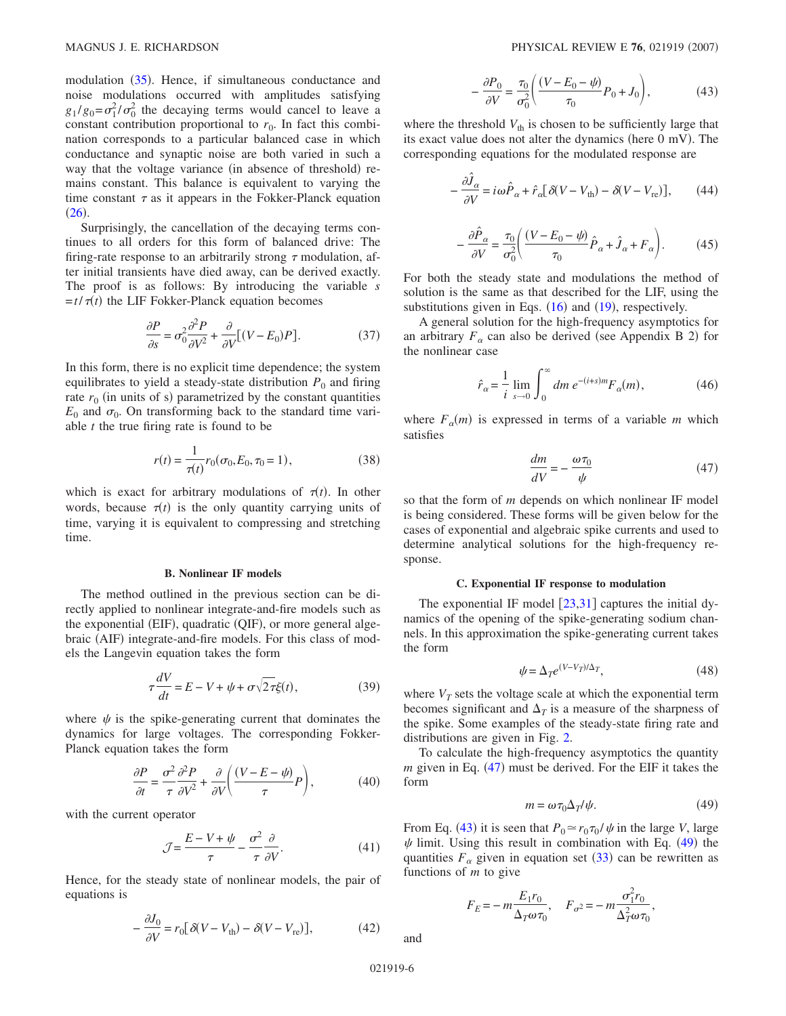modulation ([35](#page-4-3)). Hence, if simultaneous conductance and noise modulations occurred with amplitudes satisfying  $g_1/g_0 = \sigma_1^2/\sigma_0^2$  the decaying terms would cancel to leave a constant contribution proportional to  $r<sub>0</sub>$ . In fact this combination corresponds to a particular balanced case in which conductance and synaptic noise are both varied in such a way that the voltage variance (in absence of threshold) remains constant. This balance is equivalent to varying the time constant  $\tau$  as it appears in the Fokker-Planck equation  $(26).$  $(26).$  $(26).$ 

Surprisingly, the cancellation of the decaying terms continues to all orders for this form of balanced drive: The firing-rate response to an arbitrarily strong  $\tau$  modulation, after initial transients have died away, can be derived exactly. The proof is as follows: By introducing the variable *s*  $=t/\tau(t)$  the LIF Fokker-Planck equation becomes

$$
\frac{\partial P}{\partial s} = \sigma_0^2 \frac{\partial^2 P}{\partial V^2} + \frac{\partial}{\partial V} [(V - E_0)P].
$$
 (37)

In this form, there is no explicit time dependence; the system equilibrates to yield a steady-state distribution  $P_0$  and firing rate  $r_0$  (in units of s) parametrized by the constant quantities  $E_0$  and  $\sigma_0$ . On transforming back to the standard time variable *t* the true firing rate is found to be

$$
r(t) = \frac{1}{\tau(t)} r_0(\sigma_0, E_0, \tau_0 = 1),
$$
\n(38)

<span id="page-5-4"></span>which is exact for arbitrary modulations of  $\tau(t)$ . In other words, because  $\tau(t)$  is the only quantity carrying units of time, varying it is equivalent to compressing and stretching time.

# **B. Nonlinear IF models**

The method outlined in the previous section can be directly applied to nonlinear integrate-and-fire models such as the exponential (EIF), quadratic (QIF), or more general algebraic (AIF) integrate-and-fire models. For this class of models the Langevin equation takes the form

$$
\tau \frac{dV}{dt} = E - V + \psi + \sigma \sqrt{2\tau} \xi(t),\tag{39}
$$

where  $\psi$  is the spike-generating current that dominates the dynamics for large voltages. The corresponding Fokker-Planck equation takes the form

$$
\frac{\partial P}{\partial t} = \frac{\sigma^2}{\tau} \frac{\partial^2 P}{\partial V^2} + \frac{\partial}{\partial V} \left( \frac{(V - E - \psi)}{\tau} P \right),\tag{40}
$$

<span id="page-5-5"></span>with the current operator

$$
\mathcal{J} = \frac{E - V + \psi}{\tau} - \frac{\sigma^2}{\tau} \frac{\partial}{\partial V}.
$$
 (41)

Hence, for the steady state of nonlinear models, the pair of equations is

$$
-\frac{\partial J_0}{\partial V} = r_0 \left[ \delta (V - V_{\text{th}}) - \delta (V - V_{\text{re}}) \right],\tag{42}
$$

$$
-\frac{\partial P_0}{\partial V} = \frac{\tau_0}{\sigma_0^2} \left( \frac{(V - E_0 - \psi)}{\tau_0} P_0 + J_0 \right),\tag{43}
$$

<span id="page-5-1"></span>where the threshold  $V_{th}$  is chosen to be sufficiently large that its exact value does not alter the dynamics (here 0 mV). The corresponding equations for the modulated response are

$$
-\frac{\partial \hat{J}_{\alpha}}{\partial V} = i\omega \hat{P}_{\alpha} + \hat{r}_{\alpha} [\delta(V - V_{\text{th}}) - \delta(V - V_{\text{re}})], \qquad (44)
$$

$$
-\frac{\partial \hat{P}_{\alpha}}{\partial V} = \frac{\tau_0}{\sigma_0^2} \left( \frac{(V - E_0 - \psi)}{\tau_0} \hat{P}_{\alpha} + \hat{J}_{\alpha} + F_{\alpha} \right). \tag{45}
$$

For both the steady state and modulations the method of solution is the same as that described for the LIF, using the substitutions given in Eqs.  $(16)$  $(16)$  $(16)$  and  $(19)$  $(19)$  $(19)$ , respectively.

<span id="page-5-3"></span>A general solution for the high-frequency asymptotics for an arbitrary  $F_\alpha$  can also be derived (see Appendix B 2) for the nonlinear case

$$
\hat{r}_{\alpha} = \frac{1}{i} \lim_{s \to 0} \int_0^{\infty} dm \, e^{-(i+s)m} F_{\alpha}(m), \tag{46}
$$

<span id="page-5-0"></span>where  $F_{\alpha}(m)$  is expressed in terms of a variable *m* which satisfies

$$
\frac{dm}{dV} = -\frac{\omega \tau_0}{\psi} \tag{47}
$$

so that the form of *m* depends on which nonlinear IF model is being considered. These forms will be given below for the cases of exponential and algebraic spike currents and used to determine analytical solutions for the high-frequency response.

#### **C. Exponential IF response to modulation**

The exponential IF model  $[23,31]$  $[23,31]$  $[23,31]$  $[23,31]$  captures the initial dynamics of the opening of the spike-generating sodium channels. In this approximation the spike-generating current takes the form

$$
\psi = \Delta_T e^{(V - V_T)/\Delta_T},\tag{48}
$$

<span id="page-5-6"></span>where  $V_T$  sets the voltage scale at which the exponential term becomes significant and  $\Delta_T$  is a measure of the sharpness of the spike. Some examples of the steady-state firing rate and distributions are given in Fig. [2.](#page-4-0)

To calculate the high-frequency asymptotics the quantity  $m$  given in Eq.  $(47)$  $(47)$  $(47)$  must be derived. For the EIF it takes the form

$$
m = \omega \tau_0 \Delta_T / \psi. \tag{49}
$$

<span id="page-5-2"></span>From Eq. ([43](#page-5-1)) it is seen that  $P_0 \approx r_0 \tau_0 / \psi$  in the large *V*, large  $\psi$  limit. Using this result in combination with Eq. ([49](#page-5-2)) the quantities  $F_\alpha$  given in equation set ([33](#page-4-4)) can be rewritten as functions of *m* to give

$$
F_E = -m\frac{E_1r_0}{\Delta_T\omega\tau_0}, \quad F_{\sigma^2} = -m\frac{\sigma_1^2r_0}{\Delta_T^2\omega\tau_0},
$$

and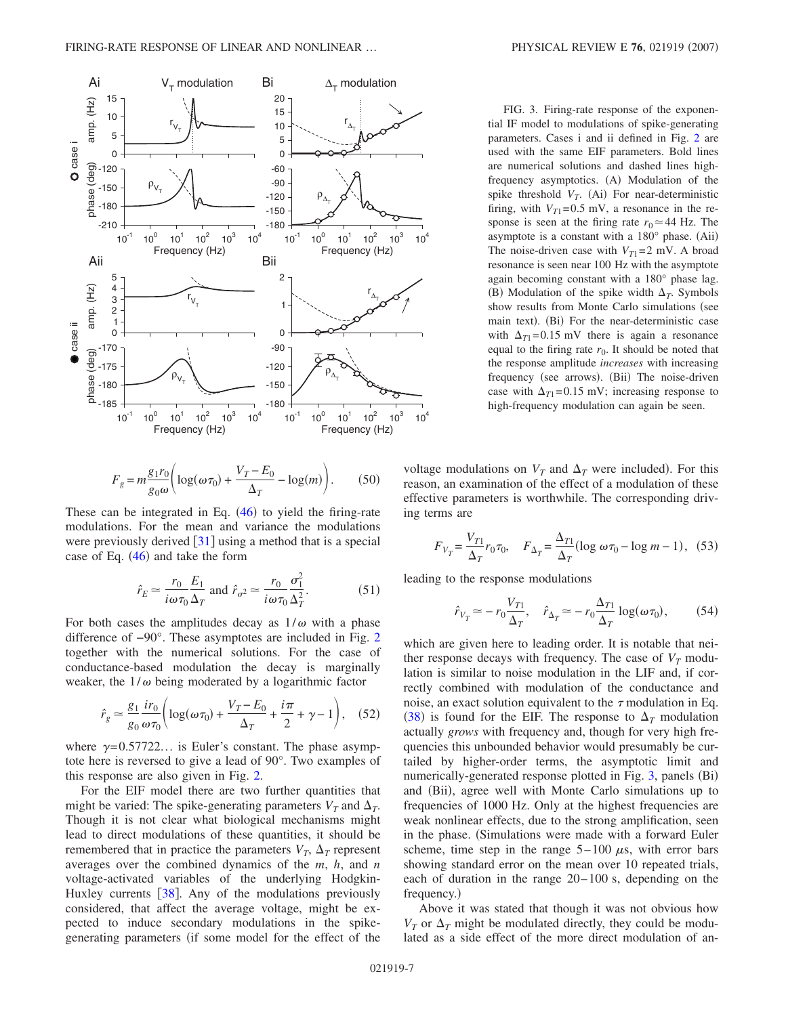<span id="page-6-2"></span>

$$
F_g = m \frac{g_1 r_0}{g_0 \omega} \left( \log(\omega \tau_0) + \frac{V_T - E_0}{\Delta_T} - \log(m) \right). \tag{50}
$$

These can be integrated in Eq.  $(46)$  $(46)$  $(46)$  to yield the firing-rate modulations. For the mean and variance the modulations were previously derived  $\left[31\right]$  $\left[31\right]$  $\left[31\right]$  using a method that is a special case of Eq.  $(46)$  $(46)$  $(46)$  and take the form

$$
\hat{r}_E \simeq \frac{r_0}{i\omega\tau_0} \frac{E_1}{\Delta_T} \text{ and } \hat{r}_{\sigma^2} \simeq \frac{r_0}{i\omega\tau_0} \frac{\sigma_1^2}{\Delta_T^2}.
$$
 (51)

<span id="page-6-0"></span>For both cases the amplitudes decay as  $1/\omega$  with a phase difference of −90°. These asymptotes are included in Fig. [2](#page-4-0) together with the numerical solutions. For the case of conductance-based modulation the decay is marginally weaker, the  $1/\omega$  being moderated by a logarithmic factor

<span id="page-6-1"></span>
$$
\hat{r}_g \simeq \frac{g_1}{g_0} \frac{ir_0}{\omega \tau_0} \left( \log(\omega \tau_0) + \frac{V_T - E_0}{\Delta_T} + \frac{i\pi}{2} + \gamma - 1 \right), \quad (52)
$$

where  $\gamma = 0.57722...$  is Euler's constant. The phase asymptote here is reversed to give a lead of 90°. Two examples of this response are also given in Fig. [2.](#page-4-0)

For the EIF model there are two further quantities that might be varied: The spike-generating parameters  $V_T$  and  $\Delta_T$ . Though it is not clear what biological mechanisms might lead to direct modulations of these quantities, it should be remembered that in practice the parameters  $V_T$ ,  $\Delta_T$  represent averages over the combined dynamics of the *m*, *h*, and *n* voltage-activated variables of the underlying Hodgkin-Huxley currents  $\left[38\right]$  $\left[38\right]$  $\left[38\right]$ . Any of the modulations previously considered, that affect the average voltage, might be expected to induce secondary modulations in the spikegenerating parameters (if some model for the effect of the

FIG. 3. Firing-rate response of the exponential IF model to modulations of spike-generating parameters. Cases i and ii defined in Fig. [2](#page-4-0) are used with the same EIF parameters. Bold lines are numerical solutions and dashed lines highfrequency asymptotics. (A) Modulation of the spike threshold  $V_T$ . (Ai) For near-deterministic firing, with  $V_{T1}$ =0.5 mV, a resonance in the response is seen at the firing rate  $r_0 \approx 44$  Hz. The asymptote is a constant with a  $180^\circ$  phase. (Aii) The noise-driven case with  $V_{T1} = 2$  mV. A broad resonance is seen near 100 Hz with the asymptote again becoming constant with a 180° phase lag. (B) Modulation of the spike width  $\Delta_T$ . Symbols show results from Monte Carlo simulations (see main text). (Bi) For the near-deterministic case with  $\Delta_{T1}$ =0.15 mV there is again a resonance equal to the firing rate  $r_0$ . It should be noted that the response amplitude *increases* with increasing frequency (see arrows). (Bii) The noise-driven case with  $\Delta_{T1}$ =0.15 mV; increasing response to high-frequency modulation can again be seen.

voltage modulations on  $V_T$  and  $\Delta_T$  were included). For this reason, an examination of the effect of a modulation of these effective parameters is worthwhile. The corresponding driving terms are

$$
F_{V_T} = \frac{V_{T1}}{\Delta_T} r_0 \tau_0, \quad F_{\Delta_T} = \frac{\Delta_{T1}}{\Delta_T} (\log \omega \tau_0 - \log m - 1), \tag{53}
$$

<span id="page-6-3"></span>leading to the response modulations

$$
\hat{r}_{V_T} \simeq -r_0 \frac{V_{T1}}{\Delta_T}, \quad \hat{r}_{\Delta_T} \simeq -r_0 \frac{\Delta_{T1}}{\Delta_T} \log(\omega \tau_0), \tag{54}
$$

which are given here to leading order. It is notable that neither response decays with frequency. The case of  $V<sub>T</sub>$  modulation is similar to noise modulation in the LIF and, if correctly combined with modulation of the conductance and noise, an exact solution equivalent to the  $\tau$  modulation in Eq. ([38](#page-5-4)) is found for the EIF. The response to  $\Delta_T$  modulation actually *grows* with frequency and, though for very high frequencies this unbounded behavior would presumably be curtailed by higher-order terms, the asymptotic limit and numerically-generated response plotted in Fig. [3,](#page-6-2) panels (Bi) and (Bii), agree well with Monte Carlo simulations up to frequencies of 1000 Hz. Only at the highest frequencies are weak nonlinear effects, due to the strong amplification, seen in the phase. (Simulations were made with a forward Euler scheme, time step in the range  $5-100 \mu s$ , with error bars showing standard error on the mean over 10 repeated trials, each of duration in the range  $20-100$  s, depending on the frequency.)

Above it was stated that though it was not obvious how  $V_T$  or  $\Delta_T$  might be modulated directly, they could be modulated as a side effect of the more direct modulation of an-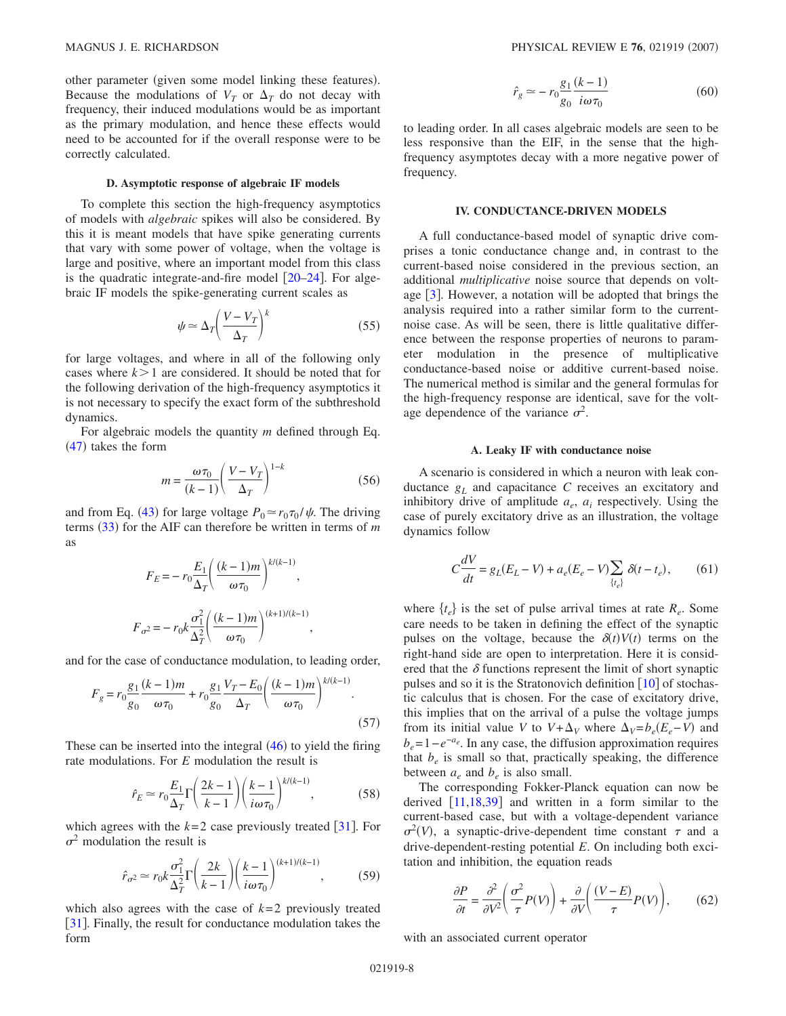other parameter (given some model linking these features). Because the modulations of  $V_T$  or  $\Delta_T$  do not decay with frequency, their induced modulations would be as important as the primary modulation, and hence these effects would need to be accounted for if the overall response were to be correctly calculated.

### **D. Asymptotic response of algebraic IF models**

To complete this section the high-frequency asymptotics of models with *algebraic* spikes will also be considered. By this it is meant models that have spike generating currents that vary with some power of voltage, when the voltage is large and positive, where an important model from this class is the quadratic integrate-and-fire model  $\lceil 20-24 \rceil$  $\lceil 20-24 \rceil$  $\lceil 20-24 \rceil$ . For algebraic IF models the spike-generating current scales as

$$
\psi \simeq \Delta_T \bigg(\frac{V - V_T}{\Delta_T}\bigg)^k \tag{55}
$$

for large voltages, and where in all of the following only cases where  $k > 1$  are considered. It should be noted that for the following derivation of the high-frequency asymptotics it is not necessary to specify the exact form of the subthreshold dynamics.

For algebraic models the quantity *m* defined through Eq.  $(47)$  $(47)$  $(47)$  takes the form

$$
m = \frac{\omega \tau_0}{(k-1)} \left(\frac{V - V_T}{\Delta_T}\right)^{1-k} \tag{56}
$$

and from Eq. ([43](#page-5-1)) for large voltage  $P_0 \simeq r_0 \tau_0 / \psi$ . The driving terms  $(33)$  $(33)$  $(33)$  for the AIF can therefore be written in terms of  $m$ as

$$
F_E = -r_0 \frac{E_1}{\Delta_T} \left( \frac{(k-1)m}{\omega \tau_0} \right)^{k/(k-1)},
$$
  

$$
F_{\sigma^2} = -r_0 k \frac{\sigma_1^2}{\Delta_T^2} \left( \frac{(k-1)m}{\omega \tau_0} \right)^{(k+1)/(k-1)},
$$

and for the case of conductance modulation, to leading order,

$$
F_g = r_0 \frac{g_1}{g_0} \frac{(k-1)m}{\omega \tau_0} + r_0 \frac{g_1}{g_0} \frac{V_T - E_0}{\Delta_T} \left( \frac{(k-1)m}{\omega \tau_0} \right)^{k/(k-1)}.
$$
\n(57)

<span id="page-7-1"></span>These can be inserted into the integral  $(46)$  $(46)$  $(46)$  to yield the firing rate modulations. For *E* modulation the result is

$$
\hat{r}_E \simeq r_0 \frac{E_1}{\Delta_T} \Gamma \left( \frac{2k-1}{k-1} \right) \left( \frac{k-1}{i\omega \tau_0} \right)^{k/(k-1)},\tag{58}
$$

<span id="page-7-2"></span>which agrees with the  $k=2$  case previously treated [[31](#page-13-22)]. For  $\sigma^2$  modulation the result is

$$
\hat{r}_{\sigma^2} \simeq r_0 k \frac{\sigma_1^2}{\Delta_T^2} \Gamma\left(\frac{2k}{k-1}\right) \left(\frac{k-1}{i\omega\tau_0}\right)^{(k+1)/(k-1)},\tag{59}
$$

which also agrees with the case of  $k=2$  previously treated [[31](#page-13-22)]. Finally, the result for conductance modulation takes the form

$$
\hat{r}_g \simeq -r_0 \frac{g_1}{g_0} \frac{(k-1)}{i \omega \tau_0} \tag{60}
$$

<span id="page-7-3"></span>to leading order. In all cases algebraic models are seen to be less responsive than the EIF, in the sense that the highfrequency asymptotes decay with a more negative power of frequency.

# **IV. CONDUCTANCE-DRIVEN MODELS**

A full conductance-based model of synaptic drive comprises a tonic conductance change and, in contrast to the current-based noise considered in the previous section, an additional *multiplicative* noise source that depends on voltage  $\lceil 3 \rceil$  $\lceil 3 \rceil$  $\lceil 3 \rceil$ . However, a notation will be adopted that brings the analysis required into a rather similar form to the currentnoise case. As will be seen, there is little qualitative difference between the response properties of neurons to parameter modulation in the presence of multiplicative conductance-based noise or additive current-based noise. The numerical method is similar and the general formulas for the high-frequency response are identical, save for the voltage dependence of the variance  $\sigma^2$ .

# **A. Leaky IF with conductance noise**

A scenario is considered in which a neuron with leak conductance  $g_L$  and capacitance  $C$  receives an excitatory and inhibitory drive of amplitude  $a_e$ ,  $a_i$  respectively. Using the case of purely excitatory drive as an illustration, the voltage dynamics follow

<span id="page-7-0"></span>
$$
C\frac{dV}{dt} = g_L(E_L - V) + a_e(E_e - V) \sum_{\{t_e\}} \delta(t - t_e),
$$
 (61)

where  $\{t_e\}$  is the set of pulse arrival times at rate  $R_e$ . Some care needs to be taken in defining the effect of the synaptic pulses on the voltage, because the  $\delta(t)V(t)$  terms on the right-hand side are open to interpretation. Here it is considered that the  $\delta$  functions represent the limit of short synaptic pulses and so it is the Stratonovich definition  $\lceil 10 \rceil$  $\lceil 10 \rceil$  $\lceil 10 \rceil$  of stochastic calculus that is chosen. For the case of excitatory drive, this implies that on the arrival of a pulse the voltage jumps from its initial value *V* to *V*+ $\Delta_V$  where  $\Delta_V = b_e(E_e - V)$  and  $b_e=1-e^{-a_e}$ . In any case, the diffusion approximation requires that  $b_e$  is small so that, practically speaking, the difference between  $a_e$  and  $b_e$  is also small.

The corresponding Fokker-Planck equation can now be derived  $\begin{bmatrix} 11,18,39 \end{bmatrix}$  $\begin{bmatrix} 11,18,39 \end{bmatrix}$  $\begin{bmatrix} 11,18,39 \end{bmatrix}$  $\begin{bmatrix} 11,18,39 \end{bmatrix}$  $\begin{bmatrix} 11,18,39 \end{bmatrix}$  and written in a form similar to the current-based case, but with a voltage-dependent variance  $\sigma^2(V)$ , a synaptic-drive-dependent time constant  $\tau$  and a drive-dependent-resting potential *E*. On including both excitation and inhibition, the equation reads

$$
\frac{\partial P}{\partial t} = \frac{\partial^2}{\partial V^2} \left( \frac{\sigma^2}{\tau} P(V) \right) + \frac{\partial}{\partial V} \left( \frac{(V - E)}{\tau} P(V) \right),\tag{62}
$$

with an associated current operator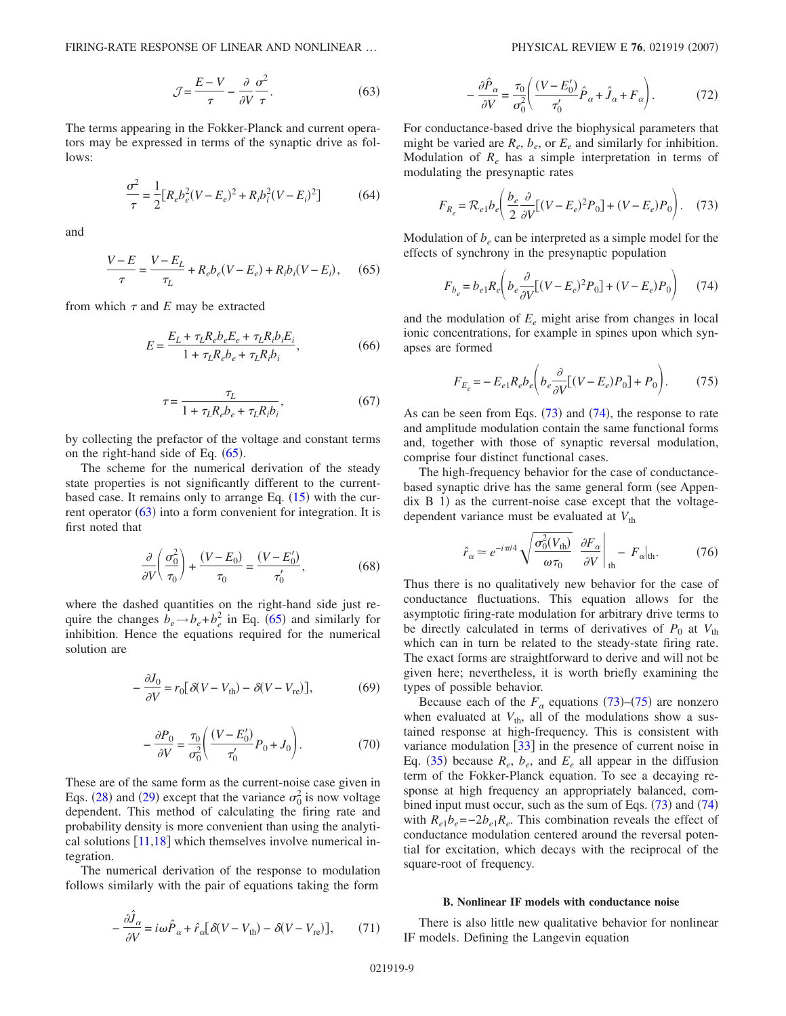<span id="page-8-1"></span>FIRING-RATE RESPONSE OF LINEAR AND NONLINEAR ...

$$
\mathcal{J} = \frac{E - V}{\tau} - \frac{\partial}{\partial V} \frac{\sigma^2}{\tau}.
$$
 (63)

<span id="page-8-5"></span>The terms appearing in the Fokker-Planck and current operators may be expressed in terms of the synaptic drive as follows:

$$
\frac{\sigma^2}{\tau} = \frac{1}{2} [R_e b_e^2 (V - E_e)^2 + R_i b_i^2 (V - E_i)^2]
$$
(64)

<span id="page-8-0"></span>and

$$
\frac{V - E}{\tau} = \frac{V - E_L}{\tau_L} + R_e b_e (V - E_e) + R_i b_i (V - E_i), \quad (65)
$$

from which  $\tau$  and  $E$  may be extracted

$$
E = \frac{E_L + \tau_L R_e b_e E_e + \tau_L R_i b_i E_i}{1 + \tau_L R_e b_e + \tau_L R_i b_i},
$$
(66)

$$
\tau = \frac{\tau_L}{1 + \tau_L R_e b_e + \tau_L R_i b_i},\tag{67}
$$

by collecting the prefactor of the voltage and constant terms on the right-hand side of Eq.  $(65)$  $(65)$  $(65)$ .

The scheme for the numerical derivation of the steady state properties is not significantly different to the currentbased case. It remains only to arrange Eq.  $(15)$  $(15)$  $(15)$  with the current operator  $(63)$  $(63)$  $(63)$  into a form convenient for integration. It is first noted that

$$
\frac{\partial}{\partial V} \left( \frac{\sigma_0^2}{\tau_0} \right) + \frac{(V - E_0)}{\tau_0} = \frac{(V - E_0')}{\tau_0'},\tag{68}
$$

where the dashed quantities on the right-hand side just require the changes  $b_e \rightarrow b_e + b_e^2$  in Eq. ([65](#page-8-0)) and similarly for inhibition. Hence the equations required for the numerical solution are

$$
-\frac{\partial J_0}{\partial V} = r_0 \left[ \delta (V - V_{\text{th}}) - \delta (V - V_{\text{re}}) \right],\tag{69}
$$

$$
-\frac{\partial P_0}{\partial V} = \frac{\tau_0}{\sigma_0^2} \left( \frac{(V - E_0')}{\tau_0'} P_0 + J_0 \right). \tag{70}
$$

These are of the same form as the current-noise case given in Eqs. ([28](#page-3-1)) and ([29](#page-3-2)) except that the variance  $\sigma_0^2$  is now voltage dependent. This method of calculating the firing rate and probability density is more convenient than using the analytical solutions  $[11,18]$  $[11,18]$  $[11,18]$  $[11,18]$  which themselves involve numerical integration.

The numerical derivation of the response to modulation follows similarly with the pair of equations taking the form

$$
-\frac{\partial \hat{J}_{\alpha}}{\partial V} = i\omega \hat{P}_{\alpha} + \hat{r}_{\alpha} [\delta(V - V_{\text{th}}) - \delta(V - V_{\text{re}})],\tag{71}
$$

$$
-\frac{\partial \hat{P}_{\alpha}}{\partial V} = \frac{\tau_0}{\sigma_0^2} \left( \frac{(V - E_0')}{\tau_0'} \hat{P}_{\alpha} + \hat{J}_{\alpha} + F_{\alpha} \right). \tag{72}
$$

For conductance-based drive the biophysical parameters that might be varied are  $R_e$ ,  $b_e$ , or  $E_e$  and similarly for inhibition. Modulation of *R<sub>e</sub>* has a simple interpretation in terms of modulating the presynaptic rates

<span id="page-8-2"></span>
$$
F_{R_e} = \mathcal{R}_{e1} b_e \left( \frac{b_e}{2} \frac{\partial}{\partial V} \left[ (V - E_e)^2 P_0 \right] + (V - E_e) P_0 \right). \tag{73}
$$

<span id="page-8-3"></span>Modulation of  $b_e$  can be interpreted as a simple model for the effects of synchrony in the presynaptic population

$$
F_{b_e} = b_{e1} R_e \left( b_e \frac{\partial}{\partial V} [(V - E_e)^2 P_0] + (V - E_e) P_0 \right) \tag{74}
$$

and the modulation of  $E_e$  might arise from changes in local ionic concentrations, for example in spines upon which synapses are formed

$$
F_{E_e} = -E_{e1}R_e b_e \left( b_e \frac{\partial}{\partial V} [(V - E_e)P_0] + P_0 \right). \tag{75}
$$

<span id="page-8-4"></span>As can be seen from Eqs.  $(73)$  $(73)$  $(73)$  and  $(74)$  $(74)$  $(74)$ , the response to rate and amplitude modulation contain the same functional forms and, together with those of synaptic reversal modulation, comprise four distinct functional cases.

The high-frequency behavior for the case of conductancebased synaptic drive has the same general form (see Appen $dix B 1)$  as the current-noise case except that the voltagedependent variance must be evaluated at  $V_{th}$ 

$$
\hat{r}_{\alpha} \simeq e^{-i\pi/4} \sqrt{\frac{\sigma_0^2(V_{\text{th}})}{\omega \tau_0}} \left. \frac{\partial F_{\alpha}}{\partial V} \right|_{\text{th}} - F_{\alpha}|_{\text{th}}.\tag{76}
$$

Thus there is no qualitatively new behavior for the case of conductance fluctuations. This equation allows for the asymptotic firing-rate modulation for arbitrary drive terms to be directly calculated in terms of derivatives of  $P_0$  at  $V_{th}$ which can in turn be related to the steady-state firing rate. The exact forms are straightforward to derive and will not be given here; nevertheless, it is worth briefly examining the types of possible behavior.

Because each of the  $F_\alpha$  equations ([73](#page-8-2))–([75](#page-8-4)) are nonzero when evaluated at  $V_{th}$ , all of the modulations show a sustained response at high-frequency. This is consistent with variance modulation  $[33]$  $[33]$  $[33]$  in the presence of current noise in Eq. ([35](#page-4-3)) because  $R_e$ ,  $b_e$ , and  $E_e$  all appear in the diffusion term of the Fokker-Planck equation. To see a decaying response at high frequency an appropriately balanced, combined input must occur, such as the sum of Eqs.  $(73)$  $(73)$  $(73)$  and  $(74)$  $(74)$  $(74)$ with  $R_{e1}b_e=-2b_{e1}R_e$ . This combination reveals the effect of conductance modulation centered around the reversal potential for excitation, which decays with the reciprocal of the square-root of frequency.

## **B. Nonlinear IF models with conductance noise**

There is also little new qualitative behavior for nonlinear IF models. Defining the Langevin equation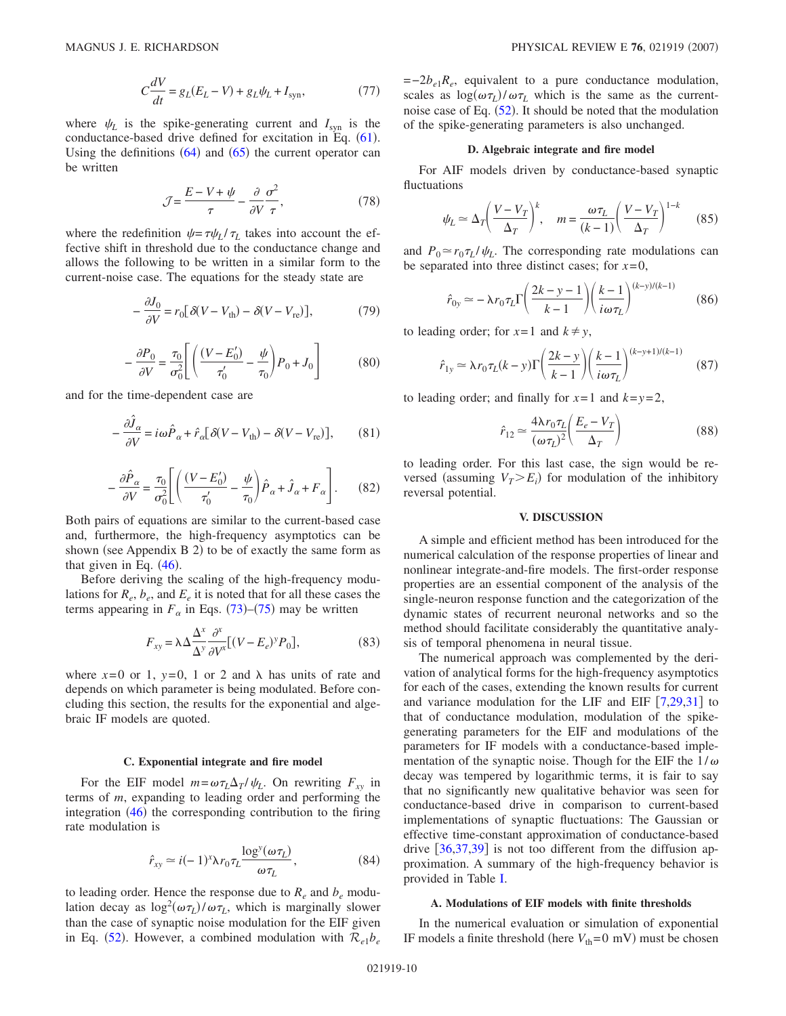$$
C\frac{dV}{dt} = g_L(E_L - V) + g_L\psi_L + I_{syn},
$$
\n(77)

where  $\psi_L$  is the spike-generating current and  $I_{syn}$  is the conductance-based drive defined for excitation in Eq.  $(61)$  $(61)$  $(61)$ . Using the definitions  $(64)$  $(64)$  $(64)$  and  $(65)$  $(65)$  $(65)$  the current operator can be written

$$
\mathcal{J} = \frac{E - V + \psi}{\tau} - \frac{\partial}{\partial V} \frac{\sigma^2}{\tau},\tag{78}
$$

where the redefinition  $\psi = \tau \psi_L / \tau_L$  takes into account the effective shift in threshold due to the conductance change and allows the following to be written in a similar form to the current-noise case. The equations for the steady state are

$$
-\frac{\partial J_0}{\partial V} = r_0 \left[ \delta (V - V_{\text{th}}) - \delta (V - V_{\text{re}}) \right],\tag{79}
$$

$$
-\frac{\partial P_0}{\partial V} = \frac{\tau_0}{\sigma_0^2} \left[ \left( \frac{(V - E_0')}{\tau_0'} - \frac{\psi}{\tau_0} \right) P_0 + J_0 \right]
$$
(80)

and for the time-dependent case are

$$
-\frac{\partial \hat{J}_{\alpha}}{\partial V} = i\omega \hat{P}_{\alpha} + \hat{r}_{\alpha} [\delta(V - V_{\text{th}}) - \delta(V - V_{\text{re}})],\qquad(81)
$$

$$
-\frac{\partial \hat{P}_{\alpha}}{\partial V} = \frac{\tau_0}{\sigma_0^2} \left[ \left( \frac{(V - E_0')}{\tau_0'} - \frac{\psi}{\tau_0} \right) \hat{P}_{\alpha} + \hat{J}_{\alpha} + F_{\alpha} \right].
$$
 (82)

Both pairs of equations are similar to the current-based case and, furthermore, the high-frequency asymptotics can be shown (see Appendix B 2) to be of exactly the same form as that given in Eq.  $(46)$  $(46)$  $(46)$ .

Before deriving the scaling of the high-frequency modulations for  $R_e$ ,  $b_e$ , and  $E_e$  it is noted that for all these cases the terms appearing in  $F_\alpha$  in Eqs. ([73](#page-8-2))–([75](#page-8-4)) may be written

$$
F_{xy} = \lambda \Delta \frac{\Delta^x}{\Delta^y} \frac{\partial^x}{\partial V^x} [(V - E_e)^y P_0],
$$
\n(83)

where  $x=0$  or 1,  $y=0$ , 1 or 2 and  $\lambda$  has units of rate and depends on which parameter is being modulated. Before concluding this section, the results for the exponential and algebraic IF models are quoted.

#### **C. Exponential integrate and fire model**

For the EIF model  $m = \omega \tau_L \Delta_T / \psi_L$ . On rewriting  $F_{xy}$  in terms of *m*, expanding to leading order and performing the integration  $(46)$  $(46)$  $(46)$  the corresponding contribution to the firing rate modulation is

$$
\hat{r}_{xy} \simeq i(-1)^{x} \lambda r_0 \tau_L \frac{\log^{y}(\omega \tau_L)}{\omega \tau_L}, \qquad (84)
$$

to leading order. Hence the response due to  $R_e$  and  $b_e$  modulation decay as  $\log^2(\omega \tau_L)/\omega \tau_L$ , which is marginally slower than the case of synaptic noise modulation for the EIF given in Eq. ([52](#page-6-1)). However, a combined modulation with  $\mathcal{R}_{e1}b_e$ 

=−2*be*1*Re*, equivalent to a pure conductance modulation, scales as  $\log(\omega \tau_L)/\omega \tau_L$  which is the same as the currentnoise case of Eq.  $(52)$  $(52)$  $(52)$ . It should be noted that the modulation of the spike-generating parameters is also unchanged.

## **D. Algebraic integrate and fire model**

For AIF models driven by conductance-based synaptic fluctuations

$$
\psi_L \simeq \Delta_T \left(\frac{V - V_T}{\Delta_T}\right)^k, \quad m = \frac{\omega \tau_L}{(k - 1)} \left(\frac{V - V_T}{\Delta_T}\right)^{1 - k} \tag{85}
$$

and  $P_0 \simeq r_0 \tau_L / \psi_L$ . The corresponding rate modulations can be separated into three distinct cases; for  $x=0$ ,

$$
\hat{r}_{0y} \simeq -\lambda r_0 \tau_L \Gamma \left( \frac{2k - y - 1}{k - 1} \right) \left( \frac{k - 1}{i \omega \tau_L} \right)^{(k - y)/(k - 1)} \tag{86}
$$

to leading order; for  $x=1$  and  $k \neq y$ ,

$$
\hat{r}_{1y} \simeq \lambda r_0 \tau_L (k - y) \Gamma \left( \frac{2k - y}{k - 1} \right) \left( \frac{k - 1}{i \omega \tau_L} \right)^{(k - y + 1)/(k - 1)} \tag{87}
$$

to leading order; and finally for  $x=1$  and  $k=y=2$ ,

$$
\hat{r}_{12} \simeq \frac{4\lambda r_0 \tau_L}{\left(\omega \tau_L\right)^2} \left(\frac{E_e - V_T}{\Delta_T}\right) \tag{88}
$$

to leading order. For this last case, the sign would be reversed (assuming  $V_T \ge E_i$ ) for modulation of the inhibitory reversal potential.

## **V. DISCUSSION**

A simple and efficient method has been introduced for the numerical calculation of the response properties of linear and nonlinear integrate-and-fire models. The first-order response properties are an essential component of the analysis of the single-neuron response function and the categorization of the dynamic states of recurrent neuronal networks and so the method should facilitate considerably the quantitative analysis of temporal phenomena in neural tissue.

The numerical approach was complemented by the derivation of analytical forms for the high-frequency asymptotics for each of the cases, extending the known results for current and variance modulation for the LIF and EIF  $[7,29,31]$  $[7,29,31]$  $[7,29,31]$  $[7,29,31]$  $[7,29,31]$  to that of conductance modulation, modulation of the spikegenerating parameters for the EIF and modulations of the parameters for IF models with a conductance-based implementation of the synaptic noise. Though for the EIF the  $1/\omega$ decay was tempered by logarithmic terms, it is fair to say that no significantly new qualitative behavior was seen for conductance-based drive in comparison to current-based implementations of synaptic fluctuations: The Gaussian or effective time-constant approximation of conductance-based drive  $\left[36,37,39\right]$  $\left[36,37,39\right]$  $\left[36,37,39\right]$  $\left[36,37,39\right]$  $\left[36,37,39\right]$  is not too different from the diffusion approximation. A summary of the high-frequency behavior is provided in Table [I.](#page-10-0)

# **A. Modulations of EIF models with finite thresholds**

In the numerical evaluation or simulation of exponential IF models a finite threshold (here  $V_{\text{th}} = 0 \text{ mV}$ ) must be chosen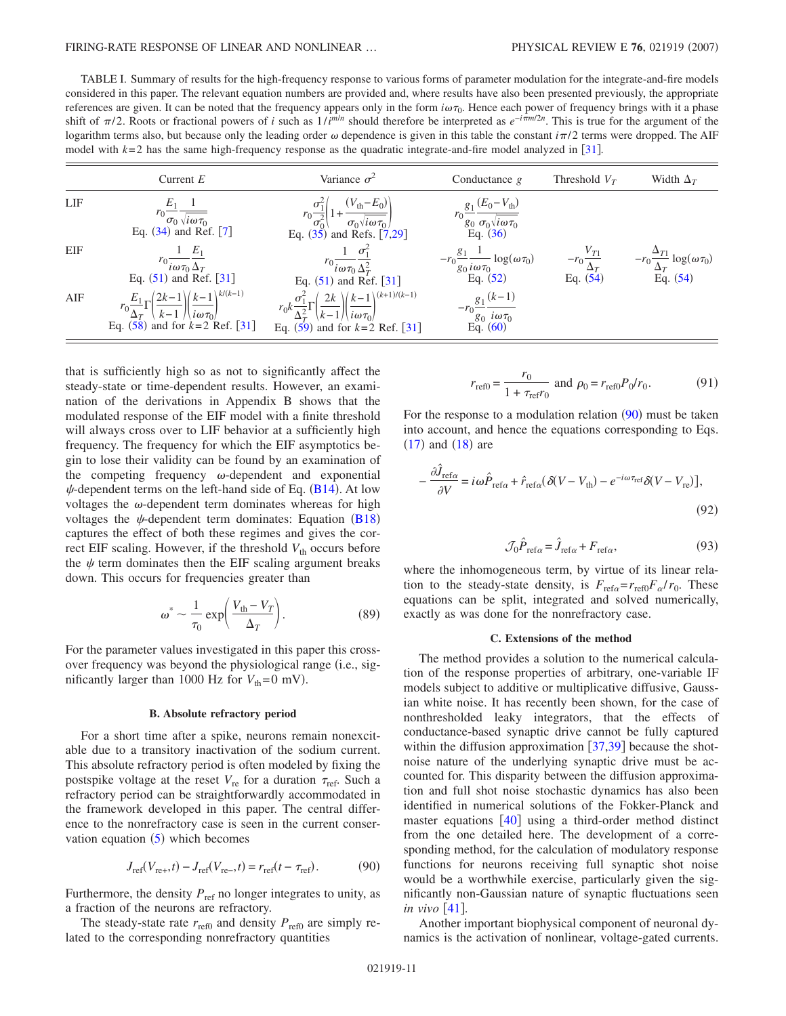<span id="page-10-0"></span>TABLE I. Summary of results for the high-frequency response to various forms of parameter modulation for the integrate-and-fire models considered in this paper. The relevant equation numbers are provided and, where results have also been presented previously, the appropriate references are given. It can be noted that the frequency appears only in the form  $i\omega\tau_0$ . Hence each power of frequency brings with it a phase shift of  $\pi/2$ . Roots or fractional powers of *i* such as  $1/m^m$  should therefore be interpreted as  $e^{-i\pi m/2n}$ . This is true for the argument of the logarithm terms also, but because only the leading order  $\omega$  dependence is given in this table the constant  $i\pi/2$  terms were dropped. The AIF model with  $k=2$  has the same high-frequency response as the quadratic integrate-and-fire model analyzed in  $\lceil 31 \rceil$  $\lceil 31 \rceil$  $\lceil 31 \rceil$ .

|     | Current $E$                                                                                                                                                  | Variance $\sigma^2$                                                                                                                                            | Conductance $g$                                                                                   | Threshold $V_T$                            | Width $\Delta_T$                                                    |
|-----|--------------------------------------------------------------------------------------------------------------------------------------------------------------|----------------------------------------------------------------------------------------------------------------------------------------------------------------|---------------------------------------------------------------------------------------------------|--------------------------------------------|---------------------------------------------------------------------|
| LIF | $r_0 \frac{E_1}{\sigma_0} \frac{1}{\sqrt{i \omega \tau_0}}$<br>Eq. $(34)$ and Ref. $[7]$                                                                     | $r_0 \frac{\sigma_1^2}{\sigma_0^2} \left( 1 + \frac{(V_{\text{th}} - E_0)}{\sigma_0 \sqrt{i \omega \tau_0}} \right)$<br>Eq. $(35)$ and Refs. $[7,29]$          | $r_0 \frac{g_1}{g_0} \frac{(E_0 - V_{\text{th}})}{\sigma_0 \sqrt{i \omega \tau_0}}$<br>Eq. $(36)$ |                                            |                                                                     |
| EIF | $r_0 \frac{1}{i\omega \tau_0} \frac{E_1}{\Delta_T}$<br>Eq. $(51)$ and Ref. $[31]$                                                                            | $r_0 \frac{1}{i \omega \tau_0} \frac{\sigma_1}{\Delta_T^2}$<br>Eq. $(51)$ and Ref. $[31]$                                                                      | $-r_0\frac{g_1}{g_0}\frac{1}{i\omega\tau_0}\log(\omega\tau_0) \nonumber \\ \text{Eq. (52)}$       | $-r_0 \frac{V_{T1}}{\Delta_T}$<br>Eq. (54) | $-r_0 \frac{\Delta_{T1}}{\Delta_T} \log(\omega \tau_0)$<br>Eq. (54) |
| AIF | $r_0 \frac{E_1}{\Delta_T} \Gamma \left( \frac{2k-1}{k-1} \right) \left( \frac{k-1}{i \omega \tau_0} \right)^{k/(k-1)}$<br>Eq. $(58)$ and for $k=2$ Ref. [31] | $r_0k\frac{\sigma_1^2}{\Delta_T^2}\Gamma\left(\frac{2k}{k-1}\right)\left(\frac{k-1}{i\omega\tau_0}\right)^{(k+1)/(k-1)}$<br>Eq. $(59)$ and for $k=2$ Ref. [31] | $-r_0 \frac{g_1(k-1)}{g_0}$<br>Eq. (60)                                                           |                                            |                                                                     |

that is sufficiently high so as not to significantly affect the steady-state or time-dependent results. However, an examination of the derivations in Appendix B shows that the modulated response of the EIF model with a finite threshold will always cross over to LIF behavior at a sufficiently high frequency. The frequency for which the EIF asymptotics begin to lose their validity can be found by an examination of the competing frequency  $\omega$ -dependent and exponential  $\psi$ -dependent terms on the left-hand side of Eq. ([B14](#page-13-33)). At low voltages the  $\omega$ -dependent term dominates whereas for high voltages the  $\psi$ -dependent term dominates: Equation ([B18](#page-13-34)) captures the effect of both these regimes and gives the correct EIF scaling. However, if the threshold  $V_{th}$  occurs before the  $\psi$  term dominates then the EIF scaling argument breaks down. This occurs for frequencies greater than

$$
\omega^* \sim \frac{1}{\tau_0} \exp\left(\frac{V_{\text{th}} - V_T}{\Delta_T}\right). \tag{89}
$$

For the parameter values investigated in this paper this crossover frequency was beyond the physiological range (i.e., significantly larger than 1000 Hz for  $V_{th} = 0$  mV).

#### **B. Absolute refractory period**

For a short time after a spike, neurons remain nonexcitable due to a transitory inactivation of the sodium current. This absolute refractory period is often modeled by fixing the postspike voltage at the reset  $V_{\text{re}}$  for a duration  $\tau_{\text{ref}}$ . Such a refractory period can be straightforwardly accommodated in the framework developed in this paper. The central difference to the nonrefractory case is seen in the current conservation equation  $(5)$  $(5)$  $(5)$  which becomes

$$
J_{\rm ref}(V_{\rm re+},t) - J_{\rm ref}(V_{\rm re-},t) = r_{\rm ref}(t - \tau_{\rm ref}).
$$
 (90)

<span id="page-10-1"></span>Furthermore, the density  $P_{ref}$  no longer integrates to unity, as a fraction of the neurons are refractory.

The steady-state rate  $r_{ref0}$  and density  $P_{ref0}$  are simply related to the corresponding nonrefractory quantities

$$
r_{\text{ref0}} = \frac{r_0}{1 + \tau_{\text{ref}} r_0} \text{ and } \rho_0 = r_{\text{ref0}} P_0 / r_0. \tag{91}
$$

For the response to a modulation relation  $(90)$  $(90)$  $(90)$  must be taken into account, and hence the equations corresponding to Eqs.  $(17)$  $(17)$  $(17)$  and  $(18)$  $(18)$  $(18)$  are

$$
-\frac{\partial \hat{J}_{\text{ref}\alpha}}{\partial V} = i\omega \hat{P}_{\text{ref}\alpha} + \hat{r}_{\text{ref}\alpha} (\delta(V - V_{\text{th}}) - e^{-i\omega \tau_{\text{ref}}} \delta(V - V_{\text{re}})),
$$
\n(92)

$$
\mathcal{J}_0 \hat{P}_{\text{ref}\alpha} = \hat{J}_{\text{ref}\alpha} + F_{\text{ref}\alpha},\tag{93}
$$

where the inhomogeneous term, by virtue of its linear relation to the steady-state density, is  $F_{ref\alpha} = r_{ref0} F_{\alpha}/r_0$ . These equations can be split, integrated and solved numerically, exactly as was done for the nonrefractory case.

#### **C. Extensions of the method**

The method provides a solution to the numerical calculation of the response properties of arbitrary, one-variable IF models subject to additive or multiplicative diffusive, Gaussian white noise. It has recently been shown, for the case of nonthresholded leaky integrators, that the effects of conductance-based synaptic drive cannot be fully captured within the diffusion approximation  $\left[37,39\right]$  $\left[37,39\right]$  $\left[37,39\right]$  $\left[37,39\right]$  because the shotnoise nature of the underlying synaptic drive must be accounted for. This disparity between the diffusion approximation and full shot noise stochastic dynamics has also been identified in numerical solutions of the Fokker-Planck and master equations  $[40]$  $[40]$  $[40]$  using a third-order method distinct from the one detailed here. The development of a corresponding method, for the calculation of modulatory response functions for neurons receiving full synaptic shot noise would be a worthwhile exercise, particularly given the significantly non-Gaussian nature of synaptic fluctuations seen *in vivo*  $\lceil 41 \rceil$  $\lceil 41 \rceil$  $\lceil 41 \rceil$ .

Another important biophysical component of neuronal dynamics is the activation of nonlinear, voltage-gated currents.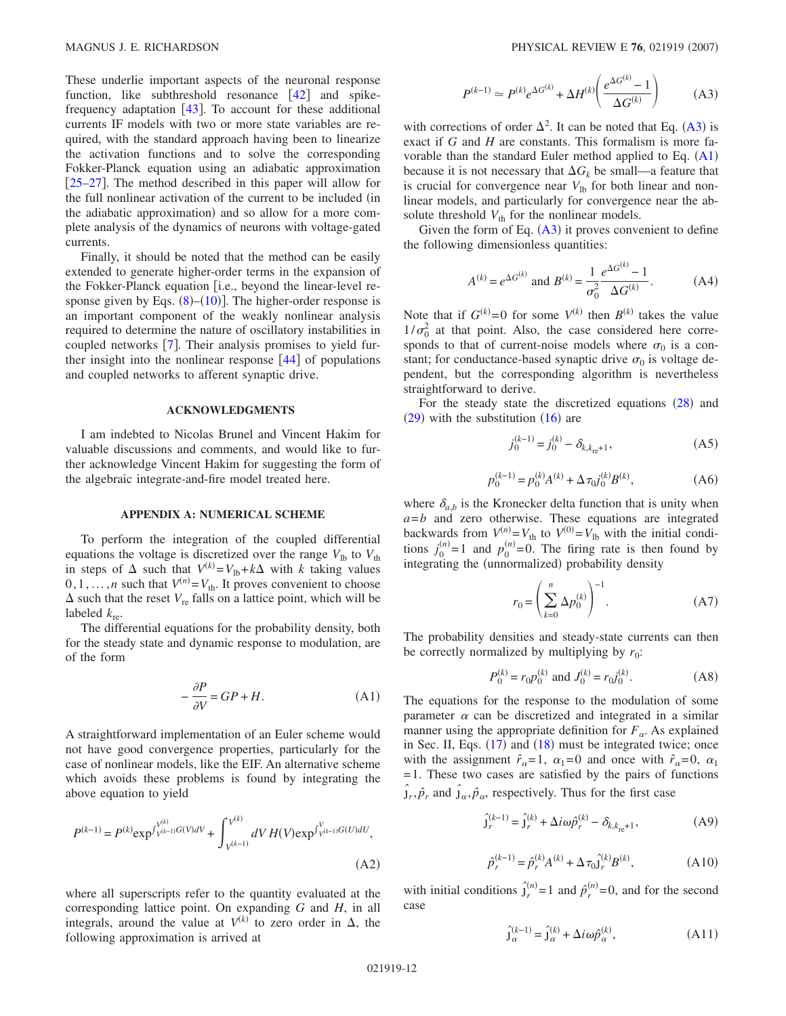These underlie important aspects of the neuronal response function, like subthreshold resonance  $\begin{bmatrix} 42 \end{bmatrix}$  $\begin{bmatrix} 42 \end{bmatrix}$  $\begin{bmatrix} 42 \end{bmatrix}$  and spikefrequency adaptation  $[43]$  $[43]$  $[43]$ . To account for these additional currents IF models with two or more state variables are required, with the standard approach having been to linearize the activation functions and to solve the corresponding Fokker-Planck equation using an adiabatic approximation [[25](#page-13-17)[–27](#page-13-18)]. The method described in this paper will allow for the full nonlinear activation of the current to be included (in the adiabatic approximation) and so allow for a more complete analysis of the dynamics of neurons with voltage-gated currents.

Finally, it should be noted that the method can be easily extended to generate higher-order terms in the expansion of the Fokker-Planck equation [i.e., beyond the linear-level response given by Eqs.  $(8)$  $(8)$  $(8)$ – $(10)$  $(10)$  $(10)$ ]. The higher-order response is an important component of the weakly nonlinear analysis required to determine the nature of oscillatory instabilities in coupled networks  $[7]$  $[7]$  $[7]$ . Their analysis promises to yield further insight into the nonlinear response  $[44]$  $[44]$  $[44]$  of populations and coupled networks to afferent synaptic drive.

# **ACKNOWLEDGMENTS**

I am indebted to Nicolas Brunel and Vincent Hakim for valuable discussions and comments, and would like to further acknowledge Vincent Hakim for suggesting the form of the algebraic integrate-and-fire model treated here.

# **APPENDIX A: NUMERICAL SCHEME**

To perform the integration of the coupled differential equations the voltage is discretized over the range  $V_{\text{lb}}$  to  $V_{\text{th}}$ in steps of  $\Delta$  such that  $V^{(k)} = V_{1b} + k\Delta$  with *k* taking values  $0, 1, \ldots, n$  such that  $V^{(n)} = V_{\text{th}}$ . It proves convenient to choose  $\Delta$  such that the reset  $V_{\text{re}}$  falls on a lattice point, which will be labeled  $k_{\text{re}}$ .

The differential equations for the probability density, both for the steady state and dynamic response to modulation, are of the form

$$
-\frac{\partial P}{\partial V} = GP + H.\tag{A1}
$$

<span id="page-11-1"></span>A straightforward implementation of an Euler scheme would not have good convergence properties, particularly for the case of nonlinear models, like the EIF. An alternative scheme which avoids these problems is found by integrating the above equation to yield

$$
P^{(k-1)} = P^{(k)} \exp^{J_{V^{(k-1)}}^{V^{(k)}} G(V) dV} + \int_{V^{(k-1)}}^{V^{(k)}} dV H(V) \exp^{J_{V^{(k-1)}}^{V} G(U) dU}, \tag{A2}
$$

where all superscripts refer to the quantity evaluated at the corresponding lattice point. On expanding *G* and *H*, in all integrals, around the value at  $V^{(k)}$  to zero order in  $\Delta$ , the following approximation is arrived at

$$
P^{(k-1)} \simeq P^{(k)} e^{\Delta G^{(k)}} + \Delta H^{(k)} \left( \frac{e^{\Delta G^{(k)}} - 1}{\Delta G^{(k)}} \right) \tag{A3}
$$

<span id="page-11-0"></span>with corrections of order  $\Delta^2$ . It can be noted that Eq. ([A3](#page-11-0)) is exact if *G* and *H* are constants. This formalism is more favorable than the standard Euler method applied to Eq.  $(A1)$  $(A1)$  $(A1)$ because it is not necessary that  $\Delta G_k$  be small—a feature that is crucial for convergence near  $V_{\text{lb}}$  for both linear and nonlinear models, and particularly for convergence near the absolute threshold  $V_{\text{th}}$  for the nonlinear models.

Given the form of Eq.  $(A3)$  $(A3)$  $(A3)$  it proves convenient to define the following dimensionless quantities:

$$
A^{(k)} = e^{\Delta G^{(k)}} \text{ and } B^{(k)} = \frac{1}{\sigma_0^2} \frac{e^{\Delta G^{(k)}} - 1}{\Delta G^{(k)}}.
$$
 (A4)

Note that if  $G^{(k)} = 0$  for some  $V^{(k)}$  then  $B^{(k)}$  takes the value  $1/\sigma_0^2$  at that point. Also, the case considered here corresponds to that of current-noise models where  $\sigma_0$  is a constant; for conductance-based synaptic drive  $\sigma_0$  is voltage dependent, but the corresponding algorithm is nevertheless straightforward to derive.

For the steady state the discretized equations  $(28)$  $(28)$  $(28)$  and  $(29)$  $(29)$  $(29)$  with the substitution  $(16)$  $(16)$  $(16)$  are

$$
j_0^{(k-1)} = j_0^{(k)} - \delta_{k,k_{\text{re}}+1},\tag{A5}
$$

$$
p_0^{(k-1)} = p_0^{(k)} A^{(k)} + \Delta \tau_0 j_0^{(k)} B^{(k)}, \tag{A6}
$$

where  $\delta_{a,b}$  is the Kronecker delta function that is unity when *a*=*b* and zero otherwise. These equations are integrated backwards from  $V^{(n)} = V_{\text{th}}$  to  $V^{(0)} = V_{\text{lb}}$  with the initial conditions  $j_0^0$  $p_0^{(n)} = 1$  and  $p_0^{(n)} = 0$ . The firing rate is then found by integrating the (unnormalized) probability density

$$
r_0 = \left(\sum_{k=0}^n \Delta p_0^{(k)}\right)^{-1}.
$$
 (A7)

The probability densities and steady-state currents can then be correctly normalized by multiplying by  $r_0$ :

$$
P_0^{(k)} = r_0 p_0^{(k)} \text{ and } J_0^{(k)} = r_0 j_0^{(k)}.
$$
 (A8)

The equations for the response to the modulation of some parameter  $\alpha$  can be discretized and integrated in a similar manner using the appropriate definition for  $F_{\alpha}$ . As explained in Sec. II, Eqs.  $(17)$  $(17)$  $(17)$  and  $(18)$  $(18)$  $(18)$  must be integrated twice; once with the assignment  $\hat{r}_{\alpha} = 1$ ,  $\alpha_1 = 0$  and once with  $\hat{r}_{\alpha} = 0$ ,  $\alpha_1$ = 1. These two cases are satisfied by the pairs of functions  $\hat{\mathbf{j}}_r, \hat{p}_r$  and  $\hat{\mathbf{j}}_\alpha, \hat{p}_\alpha$ , respectively. Thus for the first case

$$
\hat{\mathbf{J}}_r^{(k-1)} = \hat{\mathbf{J}}_r^{(k)} + \Delta i \omega \hat{p}_r^{(k)} - \delta_{k, k_{\text{re}}+1},
$$
\n(A9)

$$
\hat{p}_r^{(k-1)} = \hat{p}_r^{(k)} A^{(k)} + \Delta \tau_0 \hat{\mathbf{J}}_r^{(k)} B^{(k)}, \tag{A10}
$$

with initial conditions  $\hat{\mathbf{j}}_r^{\text{(}}$  $\hat{p}_r^{(n)} = 1$  and  $\hat{p}_r^{(n)} = 0$ , and for the second case

$$
\hat{\mathbf{j}}_{\alpha}^{(k-1)} = \hat{\mathbf{j}}_{\alpha}^{(k)} + \Delta i \omega \hat{p}_{\alpha}^{(k)},\tag{A11}
$$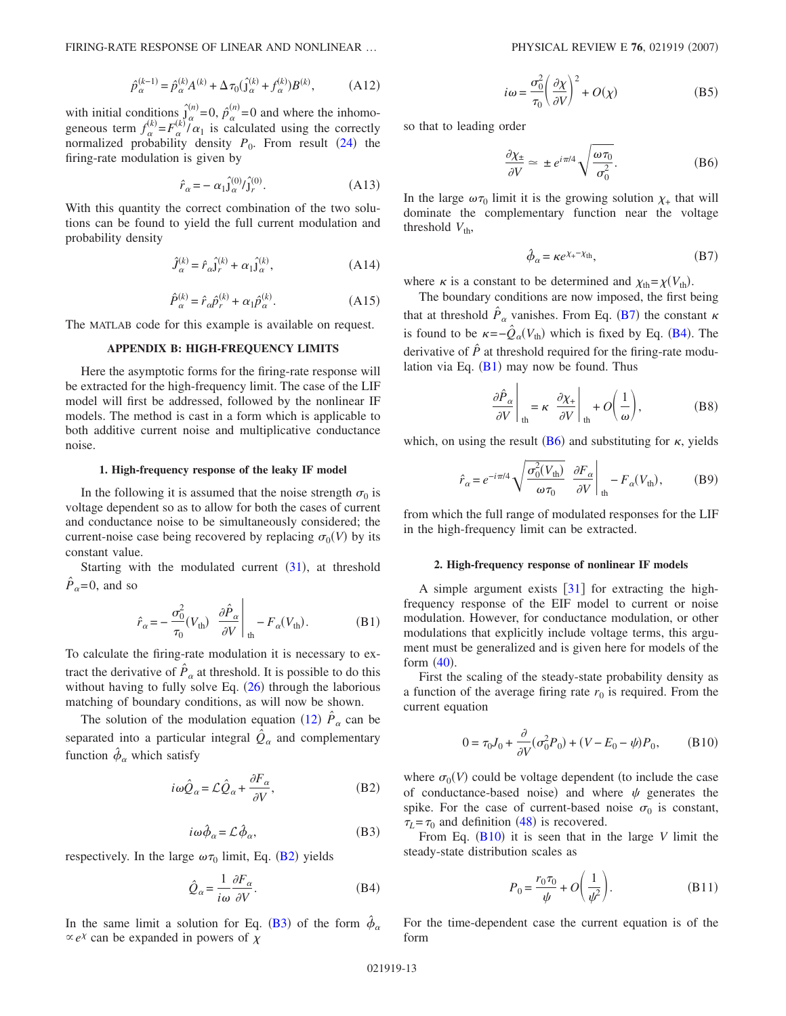FIRING-RATE RESPONSE OF LINEAR AND NONLINEAR ...

$$
\hat{p}_{\alpha}^{(k-1)} = \hat{p}_{\alpha}^{(k)} A^{(k)} + \Delta \tau_0(\hat{\mathbf{j}}_{\alpha}^{(k)} + f_{\alpha}^{(k)}) B^{(k)}, \tag{A12}
$$

with initial conditions  $\hat{j}_{\alpha}^{(n)}=0$ ,  $\hat{p}_{\alpha}^{(n)}=0$  and where the inhomogeneous term  $f_{\alpha}^{(k)} = F_{\alpha}^{(k)'} / \alpha_1$  is calculated using the correctly normalized probability density  $P_0$ . From result ([24](#page-2-7)) the firing-rate modulation is given by

$$
\hat{r}_{\alpha} = -\alpha_1 \hat{\mathbf{J}}_{\alpha}^{(0)} / \hat{\mathbf{J}}_{r}^{(0)}.
$$
\n(A13)

With this quantity the correct combination of the two solutions can be found to yield the full current modulation and probability density

$$
\hat{J}_{\alpha}^{(k)} = \hat{r}_{\alpha} \hat{J}_{r}^{(k)} + \alpha_1 \hat{J}_{\alpha}^{(k)}, \qquad (A14)
$$

$$
\hat{P}_{\alpha}^{(k)} = \hat{r}_{\alpha} \hat{p}_r^{(k)} + \alpha_1 \hat{p}_{\alpha}^{(k)}.
$$
\n(A15)

The MATLAB code for this example is available on request.

## **APPENDIX B: HIGH-FREQUENCY LIMITS**

Here the asymptotic forms for the firing-rate response will be extracted for the high-frequency limit. The case of the LIF model will first be addressed, followed by the nonlinear IF models. The method is cast in a form which is applicable to both additive current noise and multiplicative conductance noise.

#### **1. High-frequency response of the leaky IF model**

In the following it is assumed that the noise strength  $\sigma_0$  is voltage dependent so as to allow for both the cases of current and conductance noise to be simultaneously considered; the current-noise case being recovered by replacing  $\sigma_0(V)$  by its constant value.

<span id="page-12-4"></span>Starting with the modulated current  $(31)$  $(31)$  $(31)$ , at threshold  $\hat{P}_\alpha = 0$ , and so

$$
\hat{r}_{\alpha} = -\frac{\sigma_0^2}{\tau_0} (V_{\text{th}}) \frac{\partial \hat{P}_{\alpha}}{\partial V} \Big|_{\text{th}} - F_{\alpha} (V_{\text{th}}). \tag{B1}
$$

To calculate the firing-rate modulation it is necessary to extract the derivative of  $\hat{P}_\alpha$  at threshold. It is possible to do this without having to fully solve Eq.  $(26)$  $(26)$  $(26)$  through the laborious matching of boundary conditions, as will now be shown.

<span id="page-12-0"></span>The solution of the modulation equation ([12](#page-1-6))  $\hat{P}_\alpha$  can be separated into a particular integral  $\hat{Q}_{\alpha}$  and complementary function  $\hat{\phi}_{\alpha}$  which satisfy

$$
i\omega \hat{Q}_{\alpha} = \mathcal{L}\hat{Q}_{\alpha} + \frac{\partial F_{\alpha}}{\partial V},
$$
 (B2)

$$
i\omega\hat{\phi}_{\alpha} = \mathcal{L}\hat{\phi}_{\alpha},\tag{B3}
$$

<span id="page-12-3"></span><span id="page-12-1"></span>respectively. In the large  $\omega \tau_0$  limit, Eq. ([B2](#page-12-0)) yields

$$
\hat{Q}_{\alpha} = \frac{1}{i\omega} \frac{\partial F_{\alpha}}{\partial V}.
$$
\n(B4)

In the same limit a solution for Eq. ([B3](#page-12-1)) of the form  $\hat{\phi}_{\alpha}$  $\propto e^{\chi}$  can be expanded in powers of  $\chi$ 

$$
i\omega = \frac{\sigma_0^2}{\tau_0} \left(\frac{\partial \chi}{\partial V}\right)^2 + O(\chi)
$$
 (B5)

<span id="page-12-5"></span>so that to leading order

$$
\frac{\partial \chi_{\pm}}{\partial V} \simeq \pm e^{i\pi/4} \sqrt{\frac{\omega \tau_0}{\sigma_0^2}}.
$$
 (B6)

In the large  $\omega \tau_0$  limit it is the growing solution  $\chi_+$  that will dominate the complementary function near the voltage threshold  $V_{th}$ ,

$$
\hat{\phi}_{\alpha} = \kappa e^{\chi_{+} - \chi_{\text{th}}},\tag{B7}
$$

<span id="page-12-2"></span>where  $\kappa$  is a constant to be determined and  $\chi_{\text{th}} = \chi(V_{\text{th}})$ .

The boundary conditions are now imposed, the first being that at threshold  $\hat{P}_{\alpha}$  vanishes. From Eq. ([B7](#page-12-2)) the constant  $\kappa$ is found to be  $\kappa = -\hat{Q}_{\alpha}(V_{\text{th}})$  which is fixed by Eq. ([B4](#page-12-3)). The derivative of  $\hat{P}$  at threshold required for the firing-rate modulation via Eq.  $(B1)$  $(B1)$  $(B1)$  may now be found. Thus

$$
\left. \frac{\partial \hat{P}_{\alpha}}{\partial V} \right|_{\text{th}} = \kappa \left. \frac{\partial \chi_{+}}{\partial V} \right|_{\text{th}} + O\left(\frac{1}{\omega}\right),\tag{B8}
$$

which, on using the result  $(B6)$  $(B6)$  $(B6)$  and substituting for  $\kappa$ , yields

$$
\hat{r}_{\alpha} = e^{-i\pi/4} \sqrt{\frac{\sigma_0^2(V_{\text{th}})}{\omega \tau_0}} \left. \frac{\partial F_{\alpha}}{\partial V} \right|_{\text{th}} - F_{\alpha}(V_{\text{th}}), \tag{B9}
$$

from which the full range of modulated responses for the LIF in the high-frequency limit can be extracted.

#### **2. High-frequency response of nonlinear IF models**

A simple argument exists  $\lceil 31 \rceil$  $\lceil 31 \rceil$  $\lceil 31 \rceil$  for extracting the highfrequency response of the EIF model to current or noise modulation. However, for conductance modulation, or other modulations that explicitly include voltage terms, this argument must be generalized and is given here for models of the form  $(40)$  $(40)$  $(40)$ .

First the scaling of the steady-state probability density as a function of the average firing rate  $r_0$  is required. From the current equation

$$
0 = \tau_0 J_0 + \frac{\partial}{\partial V} (\sigma_0^2 P_0) + (V - E_0 - \psi) P_0, \quad (B10)
$$

<span id="page-12-6"></span>where  $\sigma_0(V)$  could be voltage dependent (to include the case of conductance-based noise) and where  $\psi$  generates the spike. For the case of current-based noise  $\sigma_0$  is constant,  $\tau_L = \tau_0$  and definition ([48](#page-5-6)) is recovered.

<span id="page-12-7"></span>From Eq. ([B10](#page-12-6)) it is seen that in the large *V* limit the steady-state distribution scales as

$$
P_0 = \frac{r_0 \tau_0}{\psi} + O\left(\frac{1}{\psi^2}\right). \tag{B11}
$$

For the time-dependent case the current equation is of the form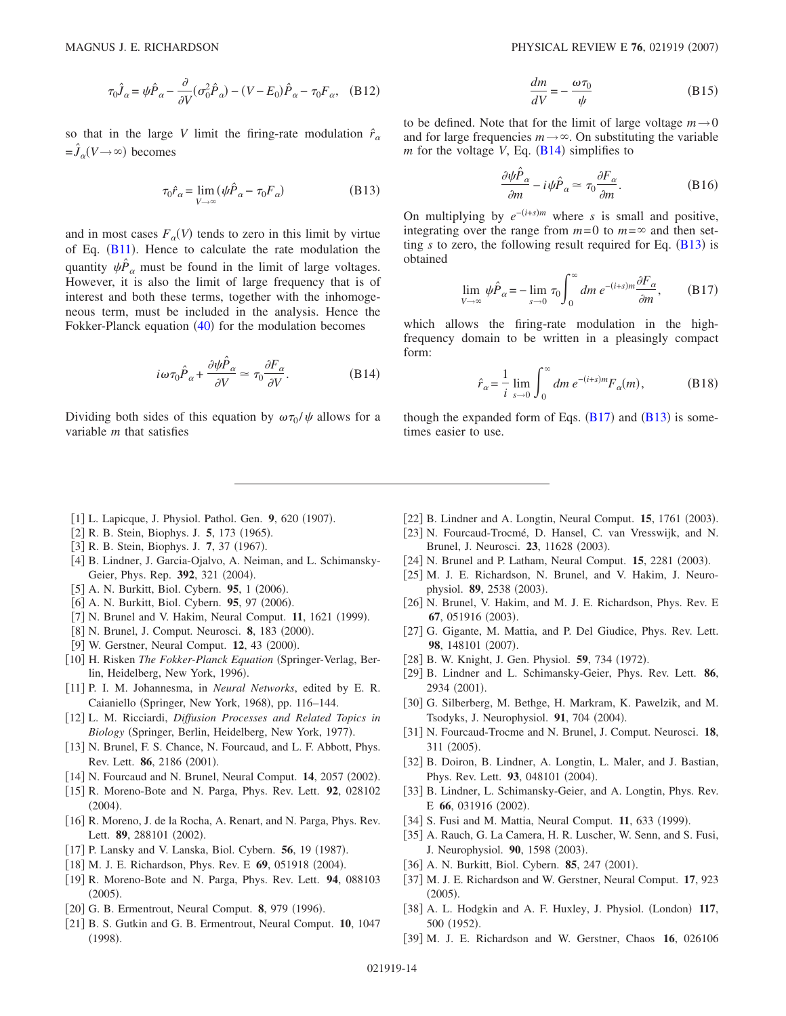$$
\tau_0 \hat{J}_\alpha = \psi \hat{P}_\alpha - \frac{\partial}{\partial V} (\sigma_0^2 \hat{P}_\alpha) - (V - E_0) \hat{P}_\alpha - \tau_0 F_\alpha, \quad (B12)
$$

<span id="page-13-35"></span>so that in the large *V* limit the firing-rate modulation  $\hat{r}_{\alpha}$  $=\hat{J}_{\alpha}(V \rightarrow \infty)$  becomes

$$
\tau_0 \hat{r}_\alpha = \lim_{V \to \infty} (\psi \hat{P}_\alpha - \tau_0 F_\alpha)
$$
 (B13)

and in most cases  $F_\alpha(V)$  tends to zero in this limit by virtue of Eq.  $(B11)$  $(B11)$  $(B11)$ . Hence to calculate the rate modulation the quantity  $\psi \hat{P}_\alpha$  must be found in the limit of large voltages. However, it is also the limit of large frequency that is of interest and both these terms, together with the inhomogeneous term, must be included in the analysis. Hence the Fokker-Planck equation ([40](#page-5-5)) for the modulation becomes

$$
i\omega\tau_0\hat{P}_\alpha + \frac{\partial\psi\hat{P}_\alpha}{\partial V} \simeq \tau_0\frac{\partial F_\alpha}{\partial V}.
$$
 (B14)

<span id="page-13-33"></span>Dividing both sides of this equation by  $\omega \tau_0 / \psi$  allows for a variable *m* that satisfies

$$
\frac{dm}{dV} = -\frac{\omega \tau_0}{\psi} \tag{B15}
$$

to be defined. Note that for the limit of large voltage  $m \rightarrow 0$ and for large frequencies  $m \rightarrow \infty$ . On substituting the variable *m* for the voltage *V*, Eq.  $(B14)$  $(B14)$  $(B14)$  simplifies to

$$
\frac{\partial \psi \hat{P}_{\alpha}}{\partial m} - i \psi \hat{P}_{\alpha} \simeq \tau_0 \frac{\partial F_{\alpha}}{\partial m}.
$$
 (B16)

On multiplying by  $e^{-(i+s)m}$  where *s* is small and positive, integrating over the range from  $m=0$  to  $m=\infty$  and then setting  $s$  to zero, the following result required for Eq.  $(B13)$  $(B13)$  $(B13)$  is obtained

$$
\lim_{V \to \infty} \psi \hat{P}_{\alpha} = -\lim_{s \to 0} \tau_0 \int_0^{\infty} dm \, e^{-(i+s)m} \frac{\partial F_{\alpha}}{\partial m}, \qquad (B17)
$$

<span id="page-13-36"></span><span id="page-13-34"></span>which allows the firing-rate modulation in the highfrequency domain to be written in a pleasingly compact form:

$$
\hat{r}_{\alpha} = \frac{1}{i} \lim_{s \to 0} \int_0^{\infty} dm \, e^{-(i+s)m} F_{\alpha}(m), \tag{B18}
$$

though the expanded form of Eqs.  $(B17)$  $(B17)$  $(B17)$  and  $(B13)$  $(B13)$  $(B13)$  is sometimes easier to use.

- <span id="page-13-0"></span>[1] L. Lapicque, J. Physiol. Pathol. Gen. 9, 620 (1907).
- <span id="page-13-1"></span>[2] R. B. Stein, Biophys. J. 5, 173 (1965).
- <span id="page-13-2"></span>[3] R. B. Stein, Biophys. J. 7, 37 (1967).
- <span id="page-13-3"></span>[4] B. Lindner, J. Garcia-Ojalvo, A. Neiman, and L. Schimansky-Geier, Phys. Rep. 392, 321 (2004).
- [5] A. N. Burkitt, Biol. Cybern. 95, 1 (2006).
- <span id="page-13-4"></span>[6] A. N. Burkitt, Biol. Cybern. 95, 97 (2006).
- <span id="page-13-5"></span>[7] N. Brunel and V. Hakim, Neural Comput. 11, 1621 (1999).
- <span id="page-13-20"></span>[8] N. Brunel, J. Comput. Neurosci. 8, 183 (2000).
- <span id="page-13-6"></span>[9] W. Gerstner, Neural Comput. 12, 43 (2000).
- <span id="page-13-7"></span>[10] H. Risken *The Fokker-Planck Equation* (Springer-Verlag, Berlin, Heidelberg, New York, 1996).
- <span id="page-13-8"></span>11 P. I. M. Johannesma, in *Neural Networks*, edited by E. R. Caianiello (Springer, New York, 1968), pp. 116-144.
- <span id="page-13-9"></span>12 L. M. Ricciardi, *Diffusion Processes and Related Topics in* Biology (Springer, Berlin, Heidelberg, New York, 1977).
- <span id="page-13-10"></span>[13] N. Brunel, F. S. Chance, N. Fourcaud, and L. F. Abbott, Phys. Rev. Lett. **86**, 2186 (2001).
- [14] N. Fourcaud and N. Brunel, Neural Comput. 14, 2057 (2002).
- <span id="page-13-11"></span>15 R. Moreno-Bote and N. Parga, Phys. Rev. Lett. **92**, 028102  $(2004).$
- <span id="page-13-12"></span>[16] R. Moreno, J. de la Rocha, A. Renart, and N. Parga, Phys. Rev. Lett. **89**, 288101 (2002).
- <span id="page-13-13"></span>[17] P. Lansky and V. Lanska, Biol. Cybern. **56**, 19 (1987).
- <span id="page-13-31"></span>[18] M. J. E. Richardson, Phys. Rev. E 69, 051918 (2004).
- <span id="page-13-14"></span>19 R. Moreno-Bote and N. Parga, Phys. Rev. Lett. **94**, 088103  $(2005).$
- <span id="page-13-15"></span>[20] G. B. Ermentrout, Neural Comput. 8, 979 (1996).
- 21 B. S. Gutkin and G. B. Ermentrout, Neural Comput. **10**, 1047  $(1998).$
- <span id="page-13-24"></span>[22] B. Lindner and A. Longtin, Neural Comput. **15**, 1761 (2003).
- <span id="page-13-29"></span>23 N. Fourcaud-Trocmé, D. Hansel, C. van Vresswijk, and N. Brunel, J. Neurosci. **23**, 11628 (2003).
- <span id="page-13-16"></span>[24] N. Brunel and P. Latham, Neural Comput. **15**, 2281 (2003).
- <span id="page-13-17"></span>[25] M. J. E. Richardson, N. Brunel, and V. Hakim, J. Neurophysiol. **89**, 2538 (2003).
- [26] N. Brunel, V. Hakim, and M. J. E. Richardson, Phys. Rev. E 67, 051916 (2003).
- <span id="page-13-18"></span>[27] G. Gigante, M. Mattia, and P. Del Giudice, Phys. Rev. Lett. 98, 148101 (2007).
- <span id="page-13-19"></span>[28] B. W. Knight, J. Gen. Physiol. 59, 734 (1972).
- <span id="page-13-21"></span>29 B. Lindner and L. Schimansky-Geier, Phys. Rev. Lett. **86**, 2934 (2001).
- [30] G. Silberberg, M. Bethge, H. Markram, K. Pawelzik, and M. Tsodyks, J. Neurophysiol. **91**, 704 (2004).
- <span id="page-13-22"></span>31 N. Fourcaud-Trocme and N. Brunel, J. Comput. Neurosci. **18**, 311 (2005).
- <span id="page-13-23"></span>[32] B. Doiron, B. Lindner, A. Longtin, L. Maler, and J. Bastian, Phys. Rev. Lett. 93, 048101 (2004).
- [33] B. Lindner, L. Schimansky-Geier, and A. Longtin, Phys. Rev. E 66, 031916 (2002).
- <span id="page-13-25"></span>[34] S. Fusi and M. Mattia, Neural Comput. 11, 633 (1999).
- <span id="page-13-26"></span>[35] A. Rauch, G. La Camera, H. R. Luscher, W. Senn, and S. Fusi, J. Neurophysiol. **90**, 1598 (2003).
- <span id="page-13-27"></span>[36] A. N. Burkitt, Biol. Cybern. 85, 247 (2001).
- <span id="page-13-28"></span>37 M. J. E. Richardson and W. Gerstner, Neural Comput. **17**, 923  $(2005).$
- <span id="page-13-30"></span>[38] A. L. Hodgkin and A. F. Huxley, J. Physiol. (London) 117, 500 (1952).
- <span id="page-13-32"></span>39 M. J. E. Richardson and W. Gerstner, Chaos **16**, 026106